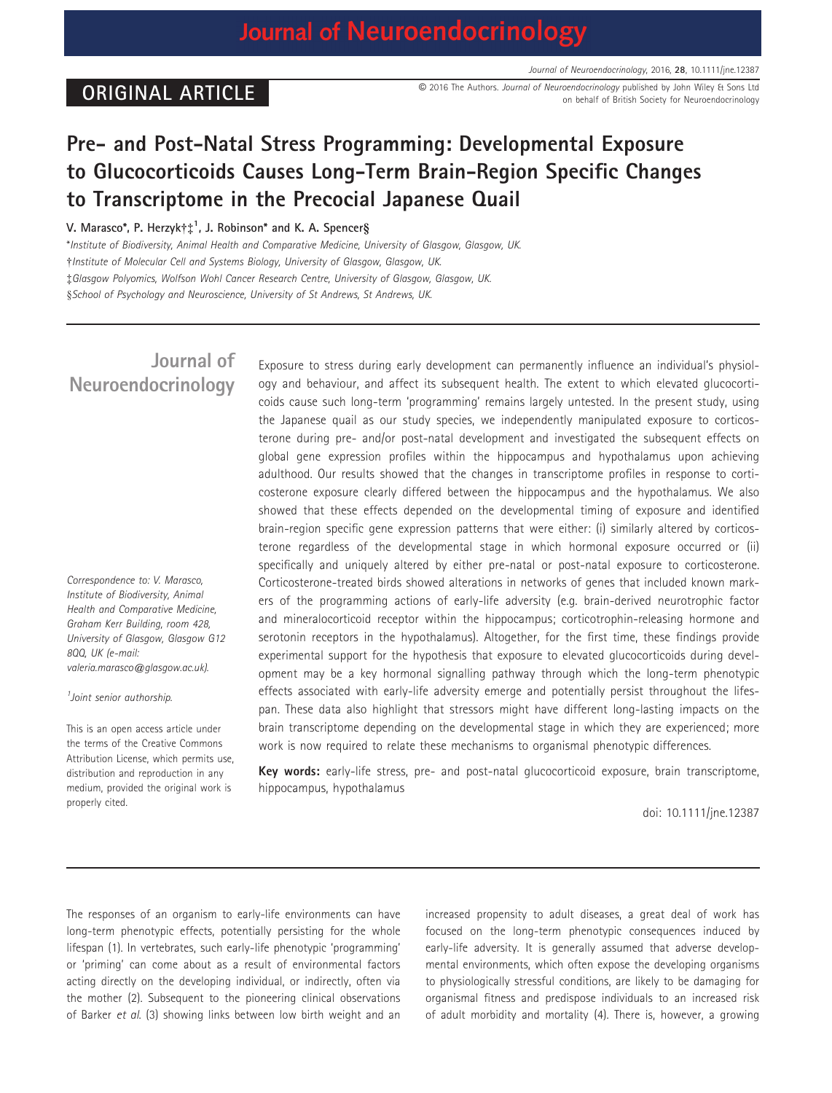# **Journal of Neuroendocrinology**

**ORIGINAL ARTICLE** CORIGINAL CORIGINAL CORRECTIVE CONTRACT PRESENT ON A SOLUT A SOLUTION OF NEUTROLOGY PUBLISHED ON PERSON SCRIPT OF NEUTROLOGY PUBLISHED (SOCIETY FOR NEUTROLOGY) on behalf of British Society for Neuroendocrinology

Pre- and Post-Natal Stress Programming: Developmental Exposure to Glucocorticoids Causes Long-Term Brain-Region Specific Changes to Transcriptome in the Precocial Japanese Quail

V. Marasco\*, P. Herzyk $\dagger \ddagger^1$ , J. Robinson\* and K. A. Spencer§

\*Institute of Biodiversity, Animal Health and Comparative Medicine, University of Glasgow, Glasgow, UK.

†Institute of Molecular Cell and Systems Biology, University of Glasgow, Glasgow, UK.

‡Glasgow Polyomics, Wolfson Wohl Cancer Research Centre, University of Glasgow, Glasgow, UK.

§School of Psychology and Neuroscience, University of St Andrews, St Andrews, UK.

## Journal of Neuroendocrinology

Correspondence to: V. Marasco, Institute of Biodiversity, Animal Health and Comparative Medicine, Graham Kerr Building, room 428, University of Glasgow, Glasgow G12 8QQ, UK (e-mail: valeria.marasco@glasgow.ac.uk).

1 Joint senior authorship.

This is an open access article under the terms of the [Creative Commons](http://creativecommons.org/licenses/by/4.0/) [Attribution](http://creativecommons.org/licenses/by/4.0/) License, which permits use, distribution and reproduction in any medium, provided the original work is properly cited.

Exposure to stress during early development can permanently influence an individual's physiology and behaviour, and affect its subsequent health. The extent to which elevated glucocorticoids cause such long-term 'programming' remains largely untested. In the present study, using the Japanese quail as our study species, we independently manipulated exposure to corticosterone during pre- and/or post-natal development and investigated the subsequent effects on global gene expression profiles within the hippocampus and hypothalamus upon achieving adulthood. Our results showed that the changes in transcriptome profiles in response to corticosterone exposure clearly differed between the hippocampus and the hypothalamus. We also showed that these effects depended on the developmental timing of exposure and identified brain-region specific gene expression patterns that were either: (i) similarly altered by corticosterone regardless of the developmental stage in which hormonal exposure occurred or (ii) specifically and uniquely altered by either pre-natal or post-natal exposure to corticosterone. Corticosterone-treated birds showed alterations in networks of genes that included known markers of the programming actions of early-life adversity (e.g. brain-derived neurotrophic factor and mineralocorticoid receptor within the hippocampus; corticotrophin-releasing hormone and serotonin receptors in the hypothalamus). Altogether, for the first time, these findings provide experimental support for the hypothesis that exposure to elevated glucocorticoids during development may be a key hormonal signalling pathway through which the long-term phenotypic effects associated with early-life adversity emerge and potentially persist throughout the lifespan. These data also highlight that stressors might have different long-lasting impacts on the brain transcriptome depending on the developmental stage in which they are experienced; more work is now required to relate these mechanisms to organismal phenotypic differences.

Key words: early-life stress, pre- and post-natal glucocorticoid exposure, brain transcriptome, hippocampus, hypothalamus

doi: 10.1111/jne.12387

The responses of an organism to early-life environments can have long-term phenotypic effects, potentially persisting for the whole lifespan (1). In vertebrates, such early-life phenotypic 'programming' or 'priming' can come about as a result of environmental factors acting directly on the developing individual, or indirectly, often via the mother (2). Subsequent to the pioneering clinical observations of Barker et al. (3) showing links between low birth weight and an increased propensity to adult diseases, a great deal of work has focused on the long-term phenotypic consequences induced by early-life adversity. It is generally assumed that adverse developmental environments, which often expose the developing organisms to physiologically stressful conditions, are likely to be damaging for organismal fitness and predispose individuals to an increased risk of adult morbidity and mortality (4). There is, however, a growing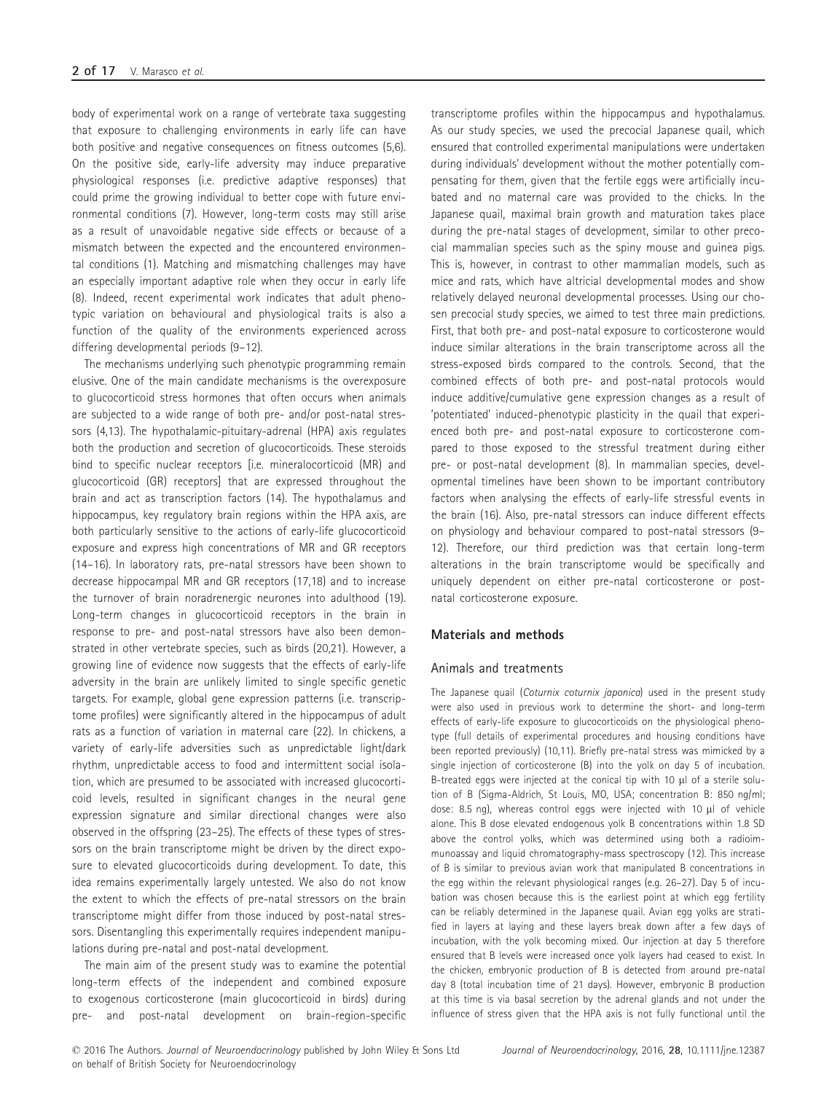body of experimental work on a range of vertebrate taxa suggesting that exposure to challenging environments in early life can have both positive and negative consequences on fitness outcomes (5,6). On the positive side, early-life adversity may induce preparative physiological responses (i.e. predictive adaptive responses) that could prime the growing individual to better cope with future environmental conditions (7). However, long-term costs may still arise as a result of unavoidable negative side effects or because of a mismatch between the expected and the encountered environmental conditions (1). Matching and mismatching challenges may have an especially important adaptive role when they occur in early life (8). Indeed, recent experimental work indicates that adult phenotypic variation on behavioural and physiological traits is also a function of the quality of the environments experienced across differing developmental periods (9–12).

The mechanisms underlying such phenotypic programming remain elusive. One of the main candidate mechanisms is the overexposure to glucocorticoid stress hormones that often occurs when animals are subjected to a wide range of both pre- and/or post-natal stressors (4,13). The hypothalamic-pituitary-adrenal (HPA) axis regulates both the production and secretion of glucocorticoids. These steroids bind to specific nuclear receptors [i.e. mineralocorticoid (MR) and glucocorticoid (GR) receptors] that are expressed throughout the brain and act as transcription factors (14). The hypothalamus and hippocampus, key regulatory brain regions within the HPA axis, are both particularly sensitive to the actions of early-life glucocorticoid exposure and express high concentrations of MR and GR receptors (14–16). In laboratory rats, pre-natal stressors have been shown to decrease hippocampal MR and GR receptors (17,18) and to increase the turnover of brain noradrenergic neurones into adulthood (19). Long-term changes in glucocorticoid receptors in the brain in response to pre- and post-natal stressors have also been demonstrated in other vertebrate species, such as birds (20,21). However, a growing line of evidence now suggests that the effects of early-life adversity in the brain are unlikely limited to single specific genetic targets. For example, global gene expression patterns (i.e. transcriptome profiles) were significantly altered in the hippocampus of adult rats as a function of variation in maternal care (22). In chickens, a variety of early-life adversities such as unpredictable light/dark rhythm, unpredictable access to food and intermittent social isolation, which are presumed to be associated with increased glucocorticoid levels, resulted in significant changes in the neural gene expression signature and similar directional changes were also observed in the offspring (23–25). The effects of these types of stressors on the brain transcriptome might be driven by the direct exposure to elevated glucocorticoids during development. To date, this idea remains experimentally largely untested. We also do not know the extent to which the effects of pre-natal stressors on the brain transcriptome might differ from those induced by post-natal stressors. Disentangling this experimentally requires independent manipulations during pre-natal and post-natal development.

The main aim of the present study was to examine the potential long-term effects of the independent and combined exposure to exogenous corticosterone (main glucocorticoid in birds) during pre- and post-natal development on brain-region-specific

transcriptome profiles within the hippocampus and hypothalamus. As our study species, we used the precocial Japanese quail, which ensured that controlled experimental manipulations were undertaken during individuals' development without the mother potentially compensating for them, given that the fertile eggs were artificially incubated and no maternal care was provided to the chicks. In the Japanese quail, maximal brain growth and maturation takes place during the pre-natal stages of development, similar to other precocial mammalian species such as the spiny mouse and guinea pigs. This is, however, in contrast to other mammalian models, such as mice and rats, which have altricial developmental modes and show relatively delayed neuronal developmental processes. Using our chosen precocial study species, we aimed to test three main predictions. First, that both pre- and post-natal exposure to corticosterone would induce similar alterations in the brain transcriptome across all the stress-exposed birds compared to the controls. Second, that the combined effects of both pre- and post-natal protocols would induce additive/cumulative gene expression changes as a result of 'potentiated' induced-phenotypic plasticity in the quail that experienced both pre- and post-natal exposure to corticosterone compared to those exposed to the stressful treatment during either pre- or post-natal development (8). In mammalian species, developmental timelines have been shown to be important contributory factors when analysing the effects of early-life stressful events in the brain (16). Also, pre-natal stressors can induce different effects on physiology and behaviour compared to post-natal stressors (9– 12). Therefore, our third prediction was that certain long-term alterations in the brain transcriptome would be specifically and uniquely dependent on either pre-natal corticosterone or postnatal corticosterone exposure.

#### Materials and methods

#### Animals and treatments

The Japanese quail (Coturnix coturnix japonica) used in the present study were also used in previous work to determine the short- and long-term effects of early-life exposure to glucocorticoids on the physiological phenotype (full details of experimental procedures and housing conditions have been reported previously) (10,11). Briefly pre-natal stress was mimicked by a single injection of corticosterone (B) into the yolk on day 5 of incubation. B-treated eggs were injected at the conical tip with 10 ul of a sterile solution of B (Sigma-Aldrich, St Louis, MO, USA; concentration B: 850 ng/ml; dose: 8.5 ng), whereas control eggs were injected with 10 µl of vehicle alone. This B dose elevated endogenous yolk B concentrations within 1.8 SD above the control yolks, which was determined using both a radioimmunoassay and liquid chromatography-mass spectroscopy (12). This increase of B is similar to previous avian work that manipulated B concentrations in the egg within the relevant physiological ranges (e.g. 26–27). Day 5 of incubation was chosen because this is the earliest point at which egg fertility can be reliably determined in the Japanese quail. Avian egg yolks are stratified in layers at laying and these layers break down after a few days of incubation, with the yolk becoming mixed. Our injection at day 5 therefore ensured that B levels were increased once yolk layers had ceased to exist. In the chicken, embryonic production of B is detected from around pre-natal day 8 (total incubation time of 21 days). However, embryonic B production at this time is via basal secretion by the adrenal glands and not under the influence of stress given that the HPA axis is not fully functional until the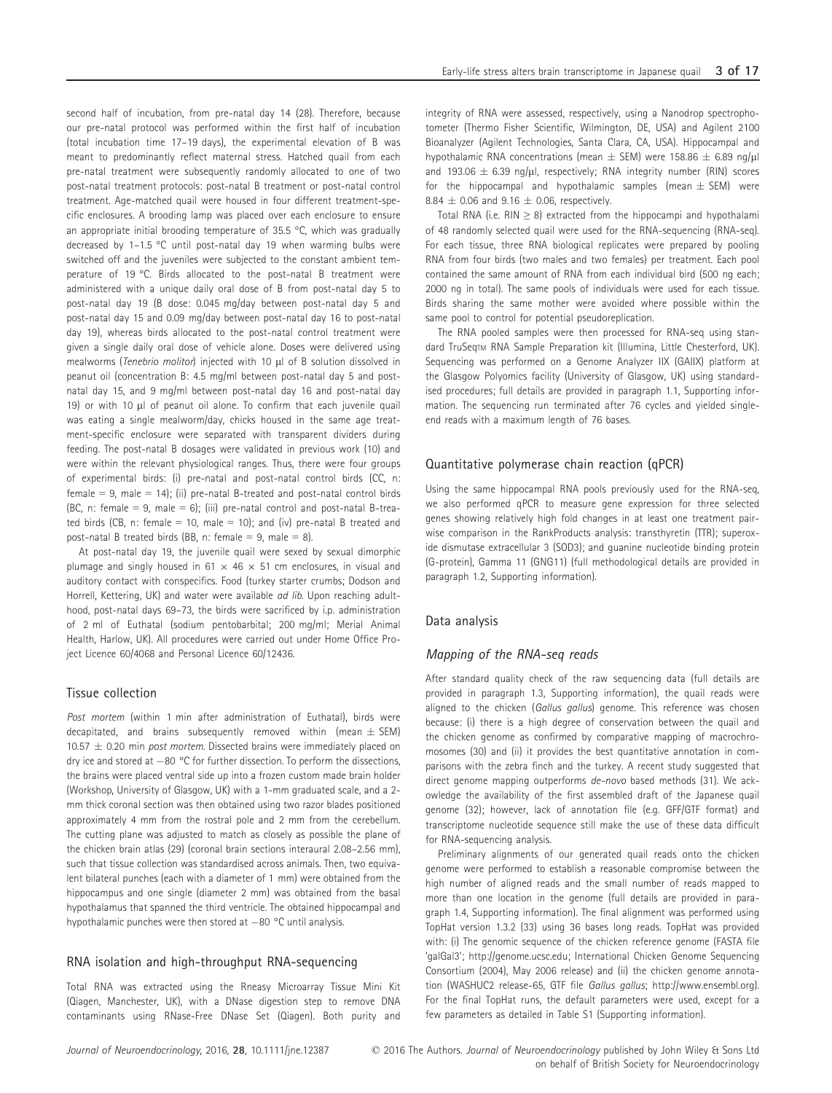second half of incubation, from pre-natal day 14 (28). Therefore, because our pre-natal protocol was performed within the first half of incubation (total incubation time 17–19 days), the experimental elevation of B was meant to predominantly reflect maternal stress. Hatched quail from each pre-natal treatment were subsequently randomly allocated to one of two post-natal treatment protocols: post-natal B treatment or post-natal control treatment. Age-matched quail were housed in four different treatment-specific enclosures. A brooding lamp was placed over each enclosure to ensure an appropriate initial brooding temperature of 35.5 °C, which was gradually decreased by 1–1.5 °C until post-natal day 19 when warming bulbs were switched off and the juveniles were subjected to the constant ambient temperature of 19 °C. Birds allocated to the post-natal B treatment were administered with a unique daily oral dose of B from post-natal day 5 to post-natal day 19 (B dose: 0.045 mg/day between post-natal day 5 and post-natal day 15 and 0.09 mg/day between post-natal day 16 to post-natal day 19), whereas birds allocated to the post-natal control treatment were given a single daily oral dose of vehicle alone. Doses were delivered using mealworms (Tenebrio molitor) injected with 10 µl of B solution dissolved in peanut oil (concentration B: 4.5 mg/ml between post-natal day 5 and postnatal day 15, and 9 mg/ml between post-natal day 16 and post-natal day 19) or with 10 µl of peanut oil alone. To confirm that each juvenile quail was eating a single mealworm/day, chicks housed in the same age treatment-specific enclosure were separated with transparent dividers during feeding. The post-natal B dosages were validated in previous work (10) and were within the relevant physiological ranges. Thus, there were four groups of experimental birds: (i) pre-natal and post-natal control birds (CC, n: female =  $9$ , male =  $14$ ); (ii) pre-natal B-treated and post-natal control birds (BC, n: female = 9, male = 6); (iii) pre-natal control and post-natal B-treated birds (CB, n: female = 10, male = 10); and (iv) pre-natal B treated and post-natal B treated birds (BB, n: female =  $9$ , male =  $8$ ).

At post-natal day 19, the juvenile quail were sexed by sexual dimorphic plumage and singly housed in 61  $\times$  46  $\times$  51 cm enclosures, in visual and auditory contact with conspecifics. Food (turkey starter crumbs; Dodson and Horrell, Kettering, UK) and water were available ad lib. Upon reaching adulthood, post-natal days 69–73, the birds were sacrificed by i.p. administration of 2 ml of Euthatal (sodium pentobarbital; 200 mg/ml; Merial Animal Health, Harlow, UK). All procedures were carried out under Home Office Project Licence 60/4068 and Personal Licence 60/12436.

#### Tissue collection

Post mortem (within 1 min after administration of Euthatal), birds were decapitated, and brains subsequently removed within (mean  $\pm$  SEM) 10.57  $\pm$  0.20 min post mortem. Dissected brains were immediately placed on dry ice and stored at  $-80$  °C for further dissection. To perform the dissections, the brains were placed ventral side up into a frozen custom made brain holder (Workshop, University of Glasgow, UK) with a 1-mm graduated scale, and a 2 mm thick coronal section was then obtained using two razor blades positioned approximately 4 mm from the rostral pole and 2 mm from the cerebellum. The cutting plane was adjusted to match as closely as possible the plane of the chicken brain atlas (29) (coronal brain sections interaural 2.08–2.56 mm), such that tissue collection was standardised across animals. Then, two equivalent bilateral punches (each with a diameter of 1 mm) were obtained from the hippocampus and one single (diameter 2 mm) was obtained from the basal hypothalamus that spanned the third ventricle. The obtained hippocampal and hypothalamic punches were then stored at  $-80$  °C until analysis.

#### RNA isolation and high-throughput RNA-sequencing

Total RNA was extracted using the Rneasy Microarray Tissue Mini Kit (Qiagen, Manchester, UK), with a DNase digestion step to remove DNA contaminants using RNase-Free DNase Set (Qiagen). Both purity and integrity of RNA were assessed, respectively, using a Nanodrop spectrophotometer (Thermo Fisher Scientific, Wilmington, DE, USA) and Agilent 2100 Bioanalyzer (Agilent Technologies, Santa Clara, CA, USA). Hippocampal and hypothalamic RNA concentrations (mean  $\pm$  SEM) were 158.86  $\pm$  6.89 ng/ $\mu$ l and 193.06  $\pm$  6.39 ng/ $\mu$ l, respectively; RNA integrity number (RIN) scores for the hippocampal and hypothalamic samples (mean  $\pm$  SEM) were 8.84  $\pm$  0.06 and 9.16  $\pm$  0.06, respectively.

Total RNA (i.e.  $RIN > 8$ ) extracted from the hippocampi and hypothalami of 48 randomly selected quail were used for the RNA-sequencing (RNA-seq). For each tissue, three RNA biological replicates were prepared by pooling RNA from four birds (two males and two females) per treatment. Each pool contained the same amount of RNA from each individual bird (500 ng each; 2000 ng in total). The same pools of individuals were used for each tissue. Birds sharing the same mother were avoided where possible within the same pool to control for potential pseudoreplication.

The RNA pooled samples were then processed for RNA-seq using standard TruSeqTM RNA Sample Preparation kit (Illumina, Little Chesterford, UK). Sequencing was performed on a Genome Analyzer IIX (GAIIX) platform at the Glasgow Polyomics facility (University of Glasgow, UK) using standardised procedures; full details are provided in paragraph 1.1, Supporting information. The sequencing run terminated after 76 cycles and yielded singleend reads with a maximum length of 76 bases.

#### Quantitative polymerase chain reaction (qPCR)

Using the same hippocampal RNA pools previously used for the RNA-seq, we also performed qPCR to measure gene expression for three selected genes showing relatively high fold changes in at least one treatment pairwise comparison in the RankProducts analysis: transthyretin (TTR); superoxide dismutase extracellular 3 (SOD3); and guanine nucleotide binding protein (G-protein), Gamma 11 (GNG11) (full methodological details are provided in paragraph 1.2, Supporting information).

#### Data analysis

#### Mapping of the RNA-seq reads

After standard quality check of the raw sequencing data (full details are provided in paragraph 1.3, Supporting information), the quail reads were aligned to the chicken (Gallus gallus) genome. This reference was chosen because: (i) there is a high degree of conservation between the quail and the chicken genome as confirmed by comparative mapping of macrochromosomes (30) and (ii) it provides the best quantitative annotation in comparisons with the zebra finch and the turkey. A recent study suggested that direct genome mapping outperforms de-novo based methods (31). We ackowledge the availability of the first assembled draft of the Japanese quail genome (32); however, lack of annotation file (e.g. GFF/GTF format) and transcriptome nucleotide sequence still make the use of these data difficult for RNA-sequencing analysis.

Preliminary alignments of our generated quail reads onto the chicken genome were performed to establish a reasonable compromise between the high number of aligned reads and the small number of reads mapped to more than one location in the genome (full details are provided in paragraph 1.4, Supporting information). The final alignment was performed using TopHat version 1.3.2 (33) using 36 bases long reads. TopHat was provided with: (i) The genomic sequence of the chicken reference genome (FASTA file 'galGal3';<http://genome.ucsc.edu>; International Chicken Genome Sequencing Consortium (2004), May 2006 release) and (ii) the chicken genome annotation (WASHUC2 release-65, GTF file Gallus gallus;<http://www.ensembl.org>). For the final TopHat runs, the default parameters were used, except for a few parameters as detailed in Table S1 (Supporting information).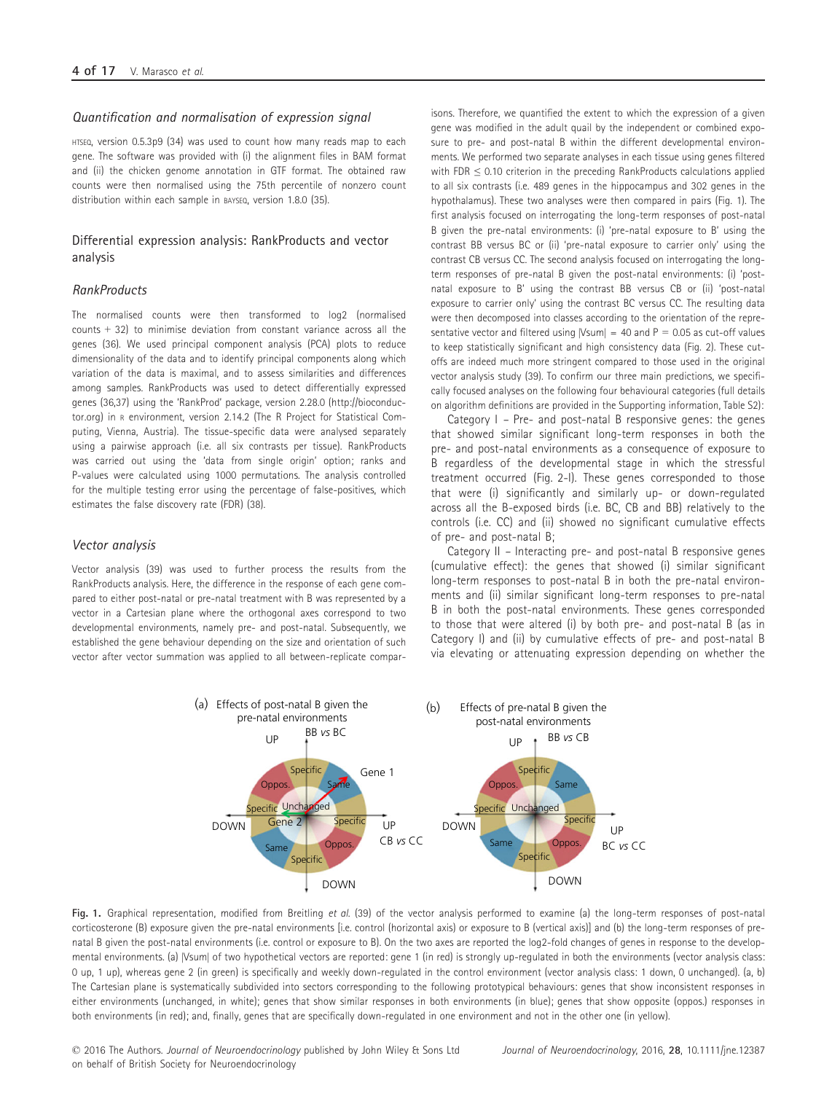#### Quantification and normalisation of expression signal

HTSEQ, version 0.5.3p9 (34) was used to count how many reads map to each gene. The software was provided with (i) the alignment files in BAM format and (ii) the chicken genome annotation in GTF format. The obtained raw counts were then normalised using the 75th percentile of nonzero count distribution within each sample in BAYSEQ, version 1.8.0 (35).

#### Differential expression analysis: RankProducts and vector analysis

#### **RankProducts**

The normalised counts were then transformed to log2 (normalised counts  $+$  32) to minimise deviation from constant variance across all the genes (36). We used principal component analysis (PCA) plots to reduce dimensionality of the data and to identify principal components along which variation of the data is maximal, and to assess similarities and differences among samples. RankProducts was used to detect differentially expressed genes (36,37) using the 'RankProd' package, version 2.28.0 [\(http://bioconduc](http://bioconductor.org)[tor.org\)](http://bioconductor.org) in R environment, version 2.14.2 (The R Project for Statistical Computing, Vienna, Austria). The tissue-specific data were analysed separately using a pairwise approach (i.e. all six contrasts per tissue). RankProducts was carried out using the 'data from single origin' option; ranks and P-values were calculated using 1000 permutations. The analysis controlled for the multiple testing error using the percentage of false-positives, which estimates the false discovery rate (FDR) (38).

#### Vector analysis

Vector analysis (39) was used to further process the results from the RankProducts analysis. Here, the difference in the response of each gene compared to either post-natal or pre-natal treatment with B was represented by a vector in a Cartesian plane where the orthogonal axes correspond to two developmental environments, namely pre- and post-natal. Subsequently, we established the gene behaviour depending on the size and orientation of such vector after vector summation was applied to all between-replicate comparisons. Therefore, we quantified the extent to which the expression of a given gene was modified in the adult quail by the independent or combined exposure to pre- and post-natal B within the different developmental environments. We performed two separate analyses in each tissue using genes filtered with FDR  $\leq$  0.10 criterion in the preceding RankProducts calculations applied to all six contrasts (i.e. 489 genes in the hippocampus and 302 genes in the hypothalamus). These two analyses were then compared in pairs (Fig. 1). The first analysis focused on interrogating the long-term responses of post-natal B given the pre-natal environments: (i) 'pre-natal exposure to B' using the contrast BB versus BC or (ii) 'pre-natal exposure to carrier only' using the contrast CB versus CC. The second analysis focused on interrogating the longterm responses of pre-natal B given the post-natal environments: (i) 'postnatal exposure to B' using the contrast BB versus CB or (ii) 'post-natal exposure to carrier only' using the contrast BC versus CC. The resulting data were then decomposed into classes according to the orientation of the representative vector and filtered using  $|Vsum| = 40$  and  $P = 0.05$  as cut-off values to keep statistically significant and high consistency data (Fig. 2). These cutoffs are indeed much more stringent compared to those used in the original vector analysis study (39). To confirm our three main predictions, we specifically focused analyses on the following four behavioural categories (full details on algorithm definitions are provided in the Supporting information, Table S2):

Category I – Pre- and post-natal B responsive genes: the genes that showed similar significant long-term responses in both the pre- and post-natal environments as a consequence of exposure to B regardless of the developmental stage in which the stressful treatment occurred (Fig. 2-I). These genes corresponded to those that were (i) significantly and similarly up- or down-regulated across all the B-exposed birds (i.e. BC, CB and BB) relatively to the controls (i.e. CC) and (ii) showed no significant cumulative effects of pre- and post-natal B;

Category II – Interacting pre- and post-natal B responsive genes (cumulative effect): the genes that showed (i) similar significant long-term responses to post-natal B in both the pre-natal environments and (ii) similar significant long-term responses to pre-natal B in both the post-natal environments. These genes corresponded to those that were altered (i) by both pre- and post-natal B (as in Category I) and (ii) by cumulative effects of pre- and post-natal B via elevating or attenuating expression depending on whether the



Fig. 1. Graphical representation, modified from Breitling et al. (39) of the vector analysis performed to examine (a) the long-term responses of post-natal corticosterone (B) exposure given the pre-natal environments [i.e. control (horizontal axis) or exposure to B (vertical axis)] and (b) the long-term responses of prenatal B given the post-natal environments (i.e. control or exposure to B). On the two axes are reported the log2-fold changes of genes in response to the developmental environments. (a) |Vsum| of two hypothetical vectors are reported: gene 1 (in red) is strongly up-regulated in both the environments (vector analysis class: 0 up, 1 up), whereas gene 2 (in green) is specifically and weekly down-regulated in the control environment (vector analysis class: 1 down, 0 unchanged). (a, b) The Cartesian plane is systematically subdivided into sectors corresponding to the following prototypical behaviours: genes that show inconsistent responses in either environments (unchanged, in white); genes that show similar responses in both environments (in blue); genes that show opposite (oppos.) responses in both environments (in red); and, finally, genes that are specifically down-regulated in one environment and not in the other one (in yellow).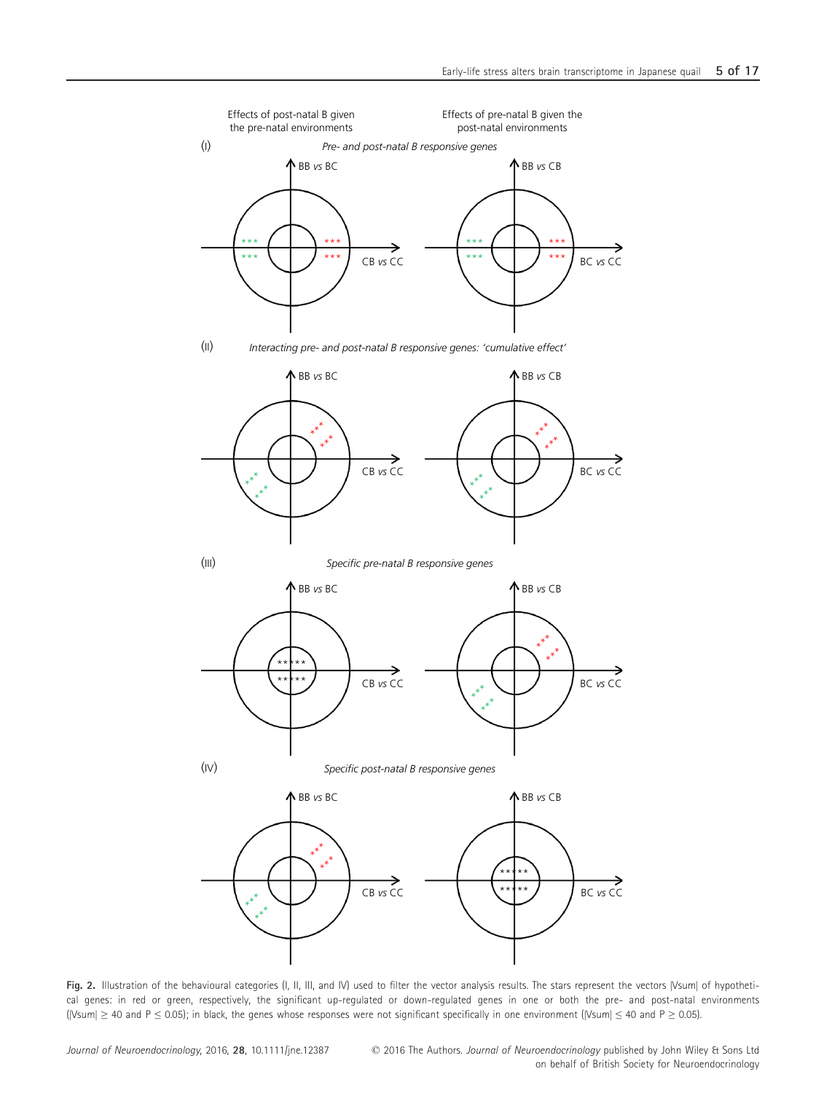

Fig. 2. Illustration of the behavioural categories (I, II, III, and IV) used to filter the vector analysis results. The stars represent the vectors |Vsum| of hypothetical genes: in red or green, respectively, the significant up-regulated or down-regulated genes in one or both the pre- and post-natal environments (|Vsum| ≥ 40 and P ≤ 0.05); in black, the genes whose responses were not significant specifically in one environment (|Vsum| ≤ 40 and P ≥ 0.05).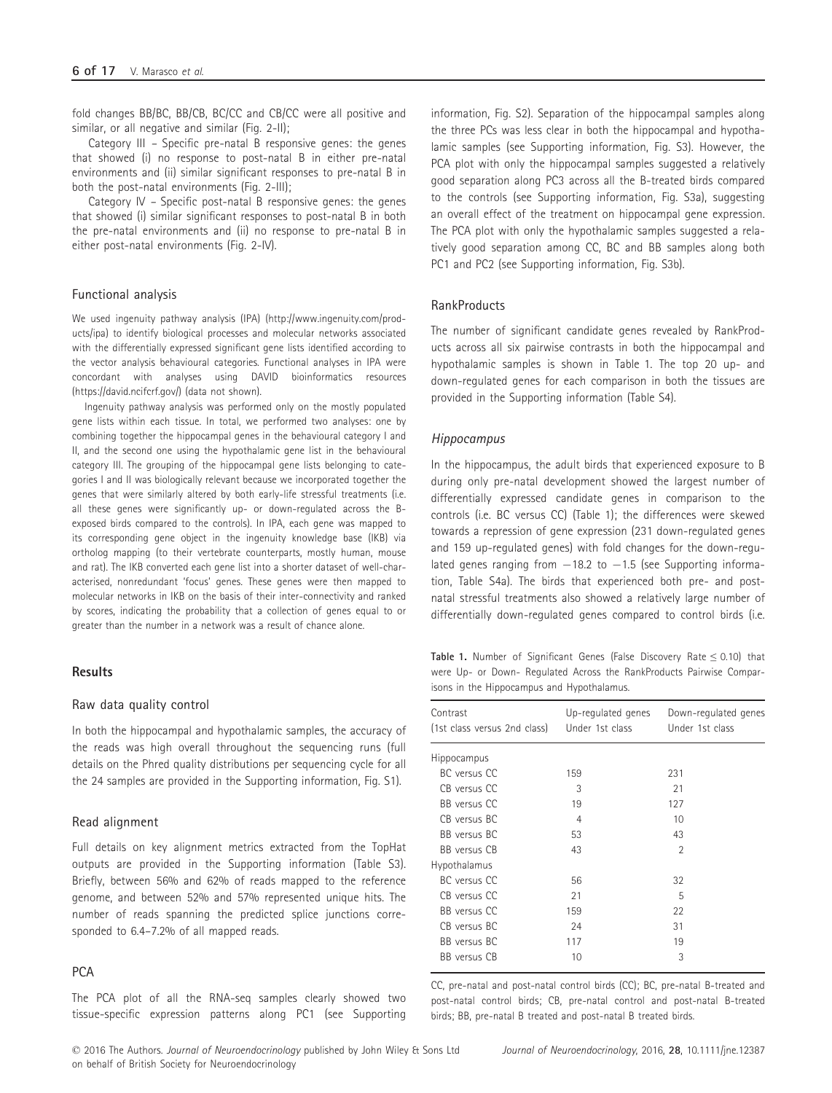fold changes BB/BC, BB/CB, BC/CC and CB/CC were all positive and similar, or all negative and similar (Fig. 2-II);

Category III – Specific pre-natal B responsive genes: the genes that showed (i) no response to post-natal B in either pre-natal environments and (ii) similar significant responses to pre-natal B in both the post-natal environments (Fig. 2-III);

Category IV – Specific post-natal B responsive genes: the genes that showed (i) similar significant responses to post-natal B in both the pre-natal environments and (ii) no response to pre-natal B in either post-natal environments (Fig. 2-IV).

#### Functional analysis

We used ingenuity pathway analysis (IPA) [\(http://www.ingenuity.com/prod](http://www.ingenuity.com/products/ipa)[ucts/ipa\)](http://www.ingenuity.com/products/ipa) to identify biological processes and molecular networks associated with the differentially expressed significant gene lists identified according to the vector analysis behavioural categories. Functional analyses in IPA were concordant with analyses using DAVID bioinformatics resources ([https://david.ncifcrf.gov/\) \(d](https://david.ncifcrf.gov/)ata not shown).

Ingenuity pathway analysis was performed only on the mostly populated gene lists within each tissue. In total, we performed two analyses: one by combining together the hippocampal genes in the behavioural category I and II, and the second one using the hypothalamic gene list in the behavioural category III. The grouping of the hippocampal gene lists belonging to categories I and II was biologically relevant because we incorporated together the genes that were similarly altered by both early-life stressful treatments (i.e. all these genes were significantly up- or down-regulated across the Bexposed birds compared to the controls). In IPA, each gene was mapped to its corresponding gene object in the ingenuity knowledge base (IKB) via ortholog mapping (to their vertebrate counterparts, mostly human, mouse and rat). The IKB converted each gene list into a shorter dataset of well-characterised, nonredundant 'focus' genes. These genes were then mapped to molecular networks in IKB on the basis of their inter-connectivity and ranked by scores, indicating the probability that a collection of genes equal to or greater than the number in a network was a result of chance alone.

#### Results

#### Raw data quality control

In both the hippocampal and hypothalamic samples, the accuracy of the reads was high overall throughout the sequencing runs (full details on the Phred quality distributions per sequencing cycle for all the 24 samples are provided in the Supporting information, Fig. S1).

#### Read alignment

Full details on key alignment metrics extracted from the TopHat outputs are provided in the Supporting information (Table S3). Briefly, between 56% and 62% of reads mapped to the reference genome, and between 52% and 57% represented unique hits. The number of reads spanning the predicted splice junctions corresponded to 6.4–7.2% of all mapped reads.

#### PCA

The PCA plot of all the RNA-seq samples clearly showed two tissue-specific expression patterns along PC1 (see Supporting information, Fig. S2). Separation of the hippocampal samples along the three PCs was less clear in both the hippocampal and hypothalamic samples (see Supporting information, Fig. S3). However, the PCA plot with only the hippocampal samples suggested a relatively good separation along PC3 across all the B-treated birds compared to the controls (see Supporting information, Fig. S3a), suggesting an overall effect of the treatment on hippocampal gene expression. The PCA plot with only the hypothalamic samples suggested a relatively good separation among CC, BC and BB samples along both PC1 and PC2 (see Supporting information, Fig. S3b).

#### **RankProducts**

The number of significant candidate genes revealed by RankProducts across all six pairwise contrasts in both the hippocampal and hypothalamic samples is shown in Table 1. The top 20 up- and down-regulated genes for each comparison in both the tissues are provided in the Supporting information (Table S4).

#### Hippocampus

In the hippocampus, the adult birds that experienced exposure to B during only pre-natal development showed the largest number of differentially expressed candidate genes in comparison to the controls (i.e. BC versus CC) (Table 1); the differences were skewed towards a repression of gene expression (231 down-regulated genes and 159 up-regulated genes) with fold changes for the down-regulated genes ranging from  $-18.2$  to  $-1.5$  (see Supporting information, Table S4a). The birds that experienced both pre- and postnatal stressful treatments also showed a relatively large number of differentially down-regulated genes compared to control birds (i.e.

Table 1. Number of Significant Genes (False Discovery Rate  $\leq$  0.10) that were Up- or Down- Regulated Across the RankProducts Pairwise Comparisons in the Hippocampus and Hypothalamus.

| Contrast<br>(1st class versus 2nd class) | Up-regulated genes<br>Under 1st class | Down-regulated genes<br>Under 1st class |
|------------------------------------------|---------------------------------------|-----------------------------------------|
| Hippocampus                              |                                       |                                         |
| BC versus CC                             | 159                                   | 231                                     |
| CB versus CC                             | 3                                     | 21                                      |
| BB versus CC                             | 19                                    | 127                                     |
| CB versus BC                             | $\overline{4}$                        | 10                                      |
| BB versus BC                             | 53                                    | 43                                      |
| BB versus CB                             | 43                                    | $\overline{2}$                          |
| Hypothalamus                             |                                       |                                         |
| BC versus CC                             | 56                                    | 32                                      |
| CB versus CC                             | 21                                    | 5                                       |
| BB versus CC                             | 159                                   | 22                                      |
| CB versus BC                             | 24                                    | 31                                      |
| BB versus BC                             | 117                                   | 19                                      |
| BB versus CB                             | 10                                    | 3                                       |

CC, pre-natal and post-natal control birds (CC); BC, pre-natal B-treated and post-natal control birds; CB, pre-natal control and post-natal B-treated birds; BB, pre-natal B treated and post-natal B treated birds.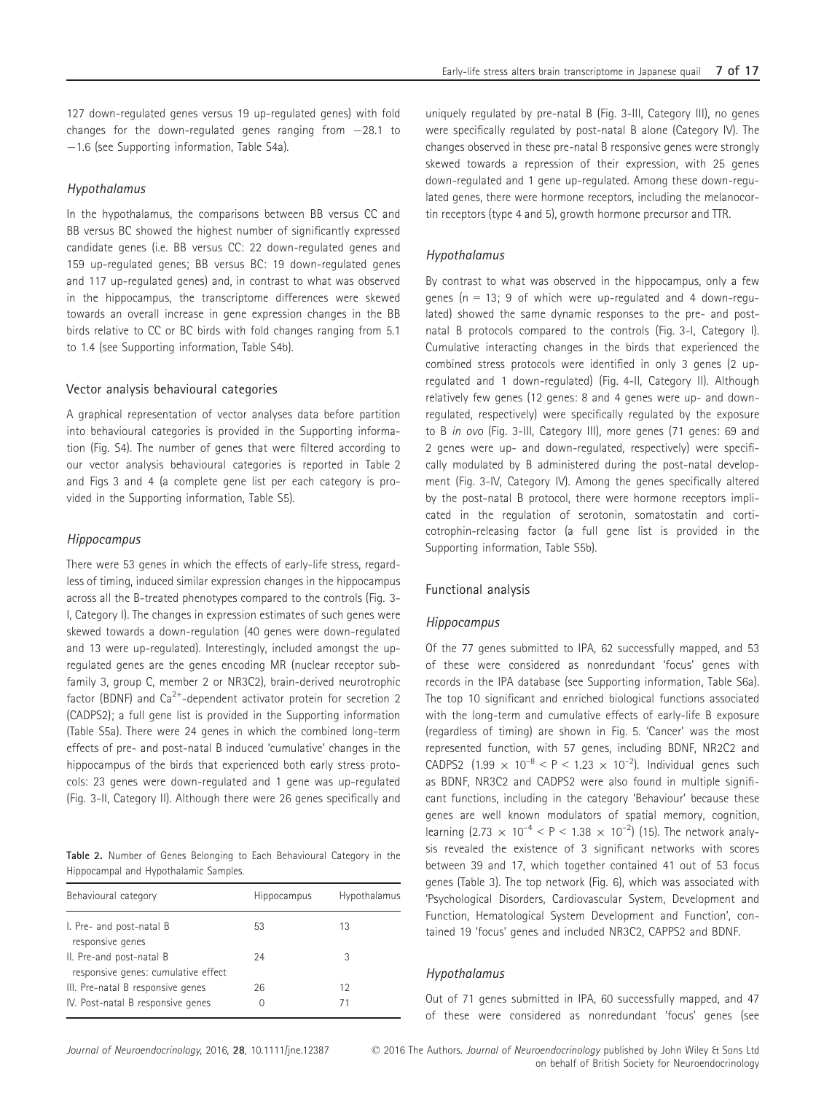127 down-regulated genes versus 19 up-regulated genes) with fold changes for the down-regulated genes ranging from  $-28.1$  to  $-1.6$  (see Supporting information, Table S4a).

#### Hypothalamus

In the hypothalamus, the comparisons between BB versus CC and BB versus BC showed the highest number of significantly expressed candidate genes (i.e. BB versus CC: 22 down-regulated genes and 159 up-regulated genes; BB versus BC: 19 down-regulated genes and 117 up-regulated genes) and, in contrast to what was observed in the hippocampus, the transcriptome differences were skewed towards an overall increase in gene expression changes in the BB birds relative to CC or BC birds with fold changes ranging from 5.1 to 1.4 (see Supporting information, Table S4b).

#### Vector analysis behavioural categories

A graphical representation of vector analyses data before partition into behavioural categories is provided in the Supporting information (Fig. S4). The number of genes that were filtered according to our vector analysis behavioural categories is reported in Table 2 and Figs 3 and 4 (a complete gene list per each category is provided in the Supporting information, Table S5).

#### Hippocampus

There were 53 genes in which the effects of early-life stress, regardless of timing, induced similar expression changes in the hippocampus across all the B-treated phenotypes compared to the controls (Fig. 3- I, Category I). The changes in expression estimates of such genes were skewed towards a down-regulation (40 genes were down-regulated and 13 were up-regulated). Interestingly, included amongst the upregulated genes are the genes encoding MR (nuclear receptor subfamily 3, group C, member 2 or NR3C2), brain-derived neurotrophic factor (BDNF) and  $Ca^{2+}$ -dependent activator protein for secretion 2 (CADPS2); a full gene list is provided in the Supporting information (Table S5a). There were 24 genes in which the combined long-term effects of pre- and post-natal B induced 'cumulative' changes in the hippocampus of the birds that experienced both early stress protocols: 23 genes were down-regulated and 1 gene was up-regulated (Fig. 3-II, Category II). Although there were 26 genes specifically and

Table 2. Number of Genes Belonging to Each Behavioural Category in the Hippocampal and Hypothalamic Samples.

| Behavioural category                                                   | Hippocampus | Hypothalamus |
|------------------------------------------------------------------------|-------------|--------------|
| I. Pre- and post-natal B<br>responsive genes                           | 53          | 13           |
| II. Pre-and post-natal B<br>responsive genes: cumulative effect        | 24          | 3            |
| III. Pre-natal B responsive genes<br>IV. Post-natal B responsive genes | 26<br>Ω     | 12<br>71     |

uniquely regulated by pre-natal B (Fig. 3-III, Category III), no genes were specifically regulated by post-natal B alone (Category IV). The changes observed in these pre-natal B responsive genes were strongly skewed towards a repression of their expression, with 25 genes down-regulated and 1 gene up-regulated. Among these down-regulated genes, there were hormone receptors, including the melanocortin receptors (type 4 and 5), growth hormone precursor and TTR.

#### Hypothalamus

By contrast to what was observed in the hippocampus, only a few genes ( $n = 13$ ; 9 of which were up-regulated and 4 down-regulated) showed the same dynamic responses to the pre- and postnatal B protocols compared to the controls (Fig. 3-I, Category I). Cumulative interacting changes in the birds that experienced the combined stress protocols were identified in only 3 genes (2 upregulated and 1 down-regulated) (Fig. 4-II, Category II). Although relatively few genes (12 genes: 8 and 4 genes were up- and downregulated, respectively) were specifically regulated by the exposure to B in ovo (Fig. 3-III, Category III), more genes (71 genes: 69 and 2 genes were up- and down-regulated, respectively) were specifically modulated by B administered during the post-natal development (Fig. 3-IV, Category IV). Among the genes specifically altered by the post-natal B protocol, there were hormone receptors implicated in the regulation of serotonin, somatostatin and corticotrophin-releasing factor (a full gene list is provided in the Supporting information, Table S5b).

#### Functional analysis

#### Hippocampus

Of the 77 genes submitted to IPA, 62 successfully mapped, and 53 of these were considered as nonredundant 'focus' genes with records in the IPA database (see Supporting information, Table S6a). The top 10 significant and enriched biological functions associated with the long-term and cumulative effects of early-life B exposure (regardless of timing) are shown in Fig. 5. 'Cancer' was the most represented function, with 57 genes, including BDNF, NR2C2 and CADPS2  $(1.99 \times 10^{-8} < P < 1.23 \times 10^{-2})$ . Individual genes such as BDNF, NR3C2 and CADPS2 were also found in multiple significant functions, including in the category 'Behaviour' because these genes are well known modulators of spatial memory, cognition, learning  $(2.73 \times 10^{-4} < P < 1.38 \times 10^{-2})$  (15). The network analysis revealed the existence of 3 significant networks with scores between 39 and 17, which together contained 41 out of 53 focus genes (Table 3). The top network (Fig. 6), which was associated with 'Psychological Disorders, Cardiovascular System, Development and Function, Hematological System Development and Function', contained 19 'focus' genes and included NR3C2, CAPPS2 and BDNF.

#### Hypothalamus

Out of 71 genes submitted in IPA, 60 successfully mapped, and 47 of these were considered as nonredundant 'focus' genes (see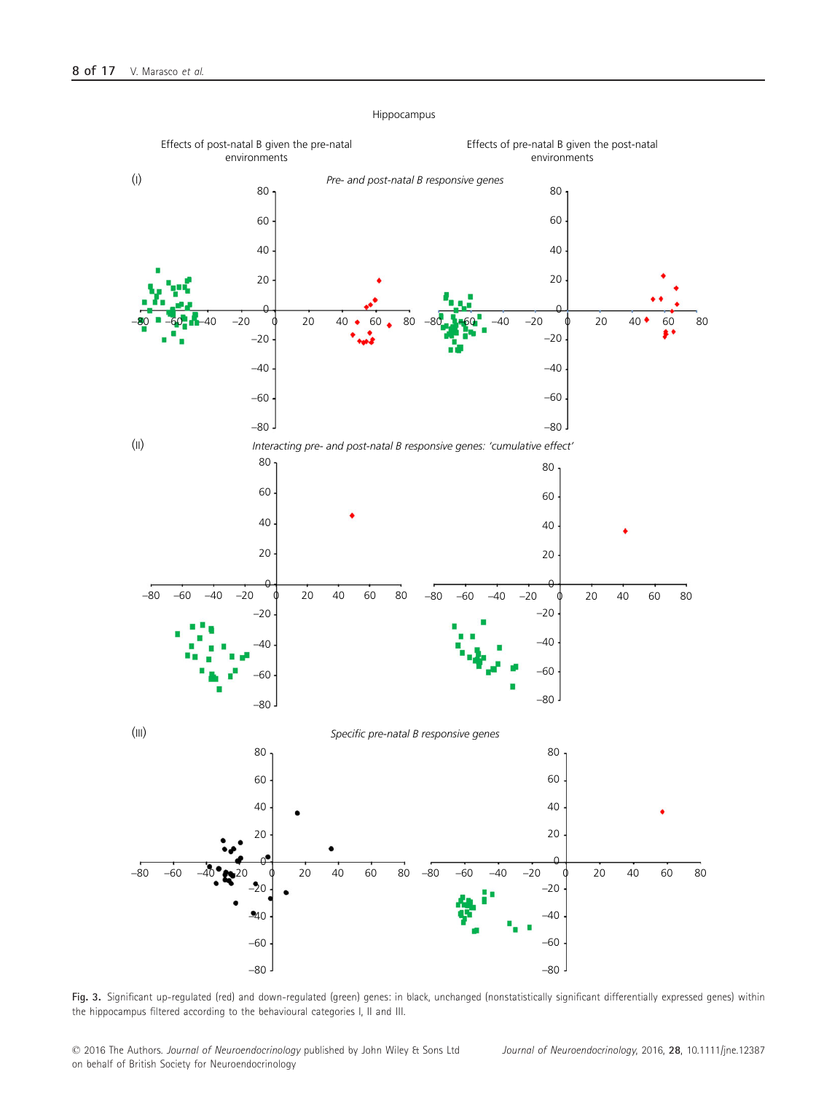

#### Hippocampus

Fig. 3. Significant up-regulated (red) and down-regulated (green) genes: in black, unchanged (nonstatistically significant differentially expressed genes) within the hippocampus filtered according to the behavioural categories I, II and III.

© 2016 The Authors. Journal of Neuroendocrinology published by John Wiley & Sons Ltd on behalf of British Society for Neuroendocrinology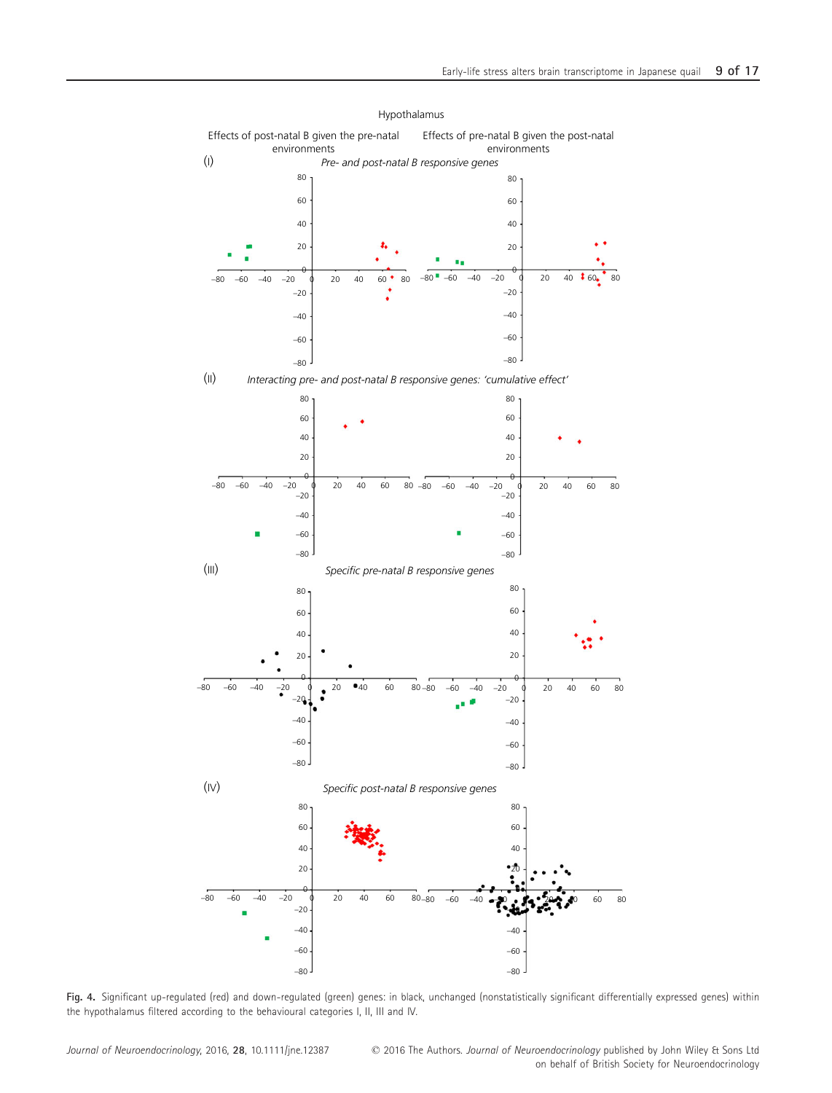

Hypothalamus

Fig. 4. Significant up-regulated (red) and down-regulated (green) genes: in black, unchanged (nonstatistically significant differentially expressed genes) within the hypothalamus filtered according to the behavioural categories I, II, III and IV.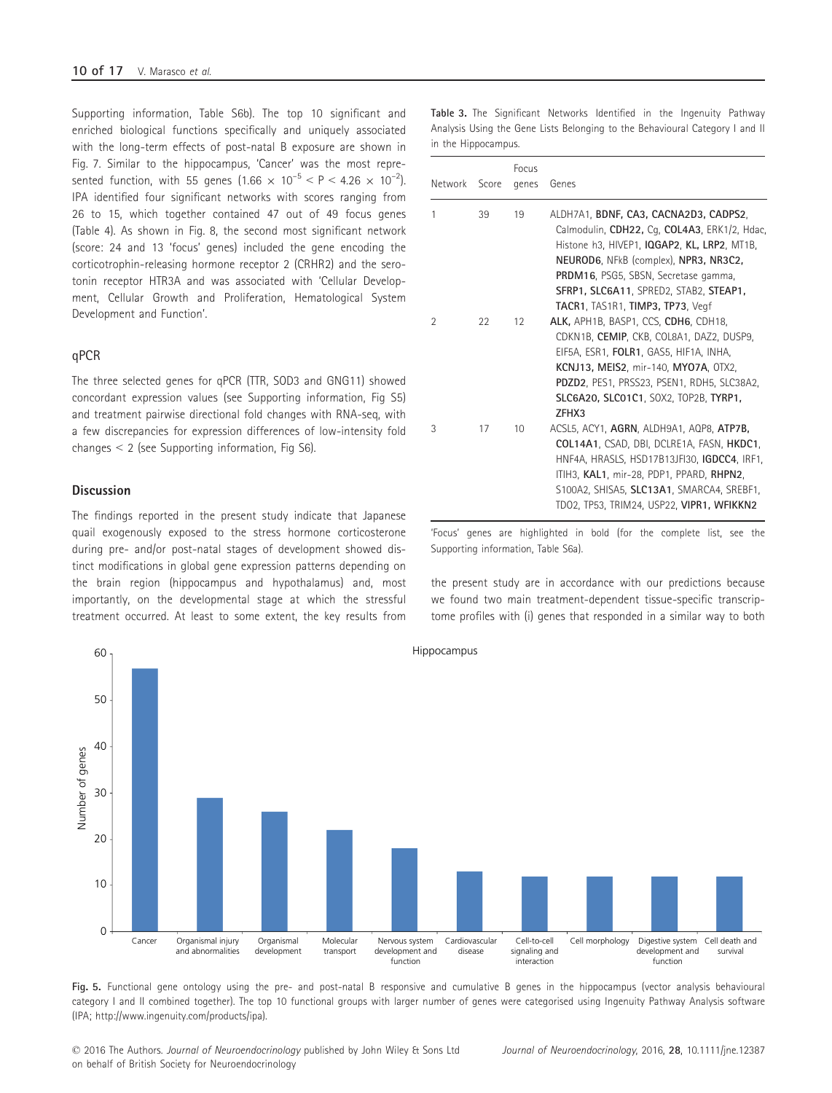Supporting information, Table S6b). The top 10 significant and enriched biological functions specifically and uniquely associated with the long-term effects of post-natal B exposure are shown in Fig. 7. Similar to the hippocampus, 'Cancer' was the most represented function, with 55 genes  $(1.66 \times 10^{-5} < P < 4.26 \times 10^{-2})$ . IPA identified four significant networks with scores ranging from 26 to 15, which together contained 47 out of 49 focus genes (Table 4). As shown in Fig. 8, the second most significant network (score: 24 and 13 'focus' genes) included the gene encoding the corticotrophin-releasing hormone receptor 2 (CRHR2) and the serotonin receptor HTR3A and was associated with 'Cellular Development, Cellular Growth and Proliferation, Hematological System Development and Function'.

#### qPCR

The three selected genes for qPCR (TTR, SOD3 and GNG11) showed concordant expression values (see Supporting information, Fig S5) and treatment pairwise directional fold changes with RNA-seq, with a few discrepancies for expression differences of low-intensity fold changes < 2 (see Supporting information, Fig S6).

#### **Discussion**

The findings reported in the present study indicate that Japanese quail exogenously exposed to the stress hormone corticosterone during pre- and/or post-natal stages of development showed distinct modifications in global gene expression patterns depending on the brain region (hippocampus and hypothalamus) and, most importantly, on the developmental stage at which the stressful treatment occurred. At least to some extent, the key results from



Fig. 5. Functional gene ontology using the pre- and post-natal B responsive and cumulative B genes in the hippocampus (vector analysis behavioural category I and II combined together). The top 10 functional groups with larger number of genes were categorised using Ingenuity Pathway Analysis software (IPA; [http://www.ingenuity.com/products/ipa\)](http://www.ingenuity.com/products/ipa).

function

Table 3. The Significant Networks Identified in the Ingenuity Pathway Analysis Using the Gene Lists Belonging to the Behavioural Category I and II in the Hippocampus.

| Network Score |    | Focus<br>genes  | Genes                                                                                                                                                                                                                                                                                                      |
|---------------|----|-----------------|------------------------------------------------------------------------------------------------------------------------------------------------------------------------------------------------------------------------------------------------------------------------------------------------------------|
|               | 39 | 19              | ALDH7A1, BDNF, CA3, CACNA2D3, CADPS2,<br>Calmodulin, CDH22, Cq, COL4A3, ERK1/2, Hdac,<br>Histone h3, HIVEP1, IQGAP2, KL, LRP2, MT1B,<br>NEUROD6, NFkB (complex), NPR3, NR3C2,<br><b>PRDM16, PSG5, SBSN, Secretase gamma,</b><br>SFRP1, SLC6A11, SPRED2, STAB2, STEAP1,<br>TACR1, TAS1R1, TIMP3, TP73, Vegf |
| 2             | 22 | 12              | ALK, APH1B, BASP1, CCS, CDH6, CDH18,<br>CDKN1B, CEMIP, CKB, COL8A1, DAZ2, DUSP9,<br>EIF5A, ESR1, FOLR1, GAS5, HIF1A, INHA,<br>KCNJ13, MEIS2, mir-140, MYO7A, OTX2,<br>PDZD2, PES1, PRSS23, PSEN1, RDH5, SLC38A2,<br>SLC6A20, SLC01C1, SOX2, TOP2B, TYRP1,<br>ZFHX3                                         |
| 3             | 17 | 10 <sup>2</sup> | ACSL5, ACY1, AGRN, ALDH9A1, AQP8, ATP7B,<br>COL14A1, CSAD, DBI, DCLRE1A, FASN, HKDC1,<br>HNF4A, HRASLS, HSD17B13JFI30, <b>IGDCC4</b> , IRF1,<br>ITIH3, KAL1, mir-28, PDP1, PPARD, RHPN2,<br>S100A2, SHISA5, SLC13A1, SMARCA4, SREBF1,<br>TDO2, TP53, TRIM24, USP22, VIPR1, WFIKKN2                         |

'Focus' genes are highlighted in bold (for the complete list, see the Supporting information, Table S6a).

the present study are in accordance with our predictions because we found two main treatment-dependent tissue-specific transcriptome profiles with (i) genes that responded in a similar way to both

© 2016 The Authors. Journal of Neuroendocrinology published by John Wiley & Sons Ltd on behalf of British Society for Neuroendocrinology

function

interaction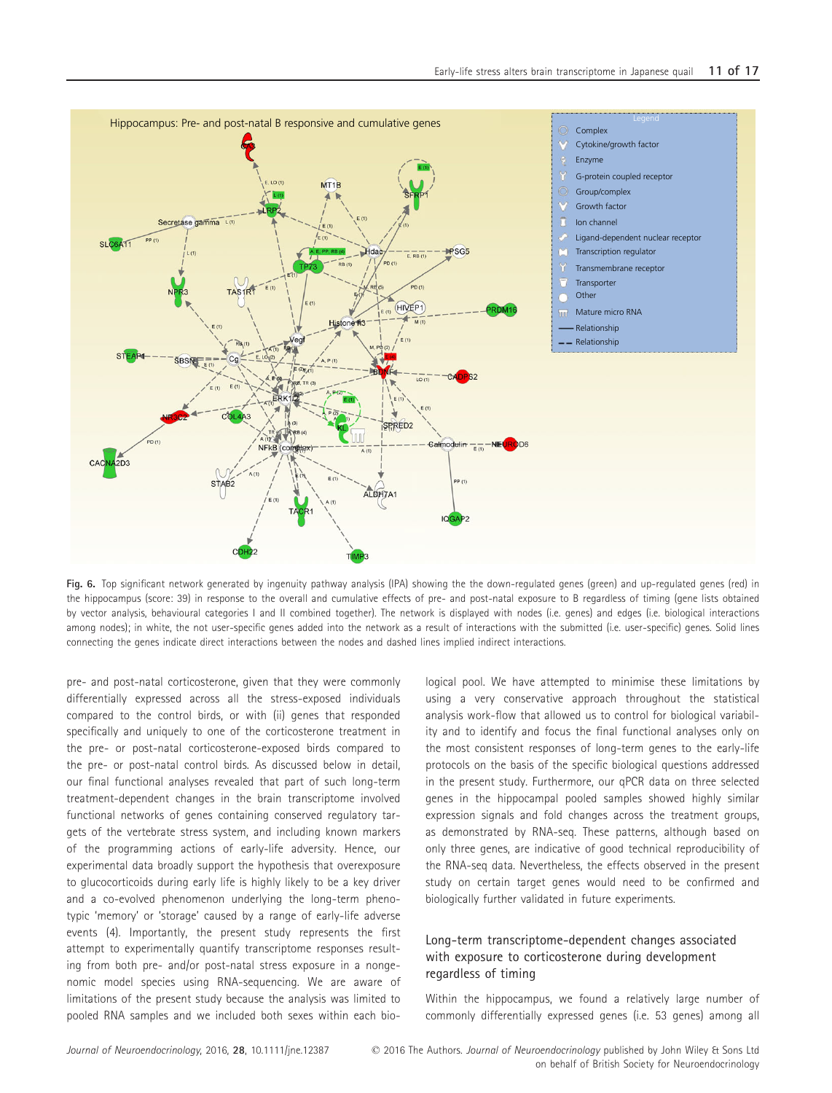

Fig. 6. Top significant network generated by ingenuity pathway analysis (IPA) showing the the down-regulated genes (green) and up-regulated genes (red) in the hippocampus (score: 39) in response to the overall and cumulative effects of pre- and post-natal exposure to B regardless of timing (gene lists obtained by vector analysis, behavioural categories I and II combined together). The network is displayed with nodes (i.e. genes) and edges (i.e. biological interactions among nodes); in white, the not user-specific genes added into the network as a result of interactions with the submitted (i.e. user-specific) genes. Solid lines connecting the genes indicate direct interactions between the nodes and dashed lines implied indirect interactions.

pre- and post-natal corticosterone, given that they were commonly differentially expressed across all the stress-exposed individuals compared to the control birds, or with (ii) genes that responded specifically and uniquely to one of the corticosterone treatment in the pre- or post-natal corticosterone-exposed birds compared to the pre- or post-natal control birds. As discussed below in detail, our final functional analyses revealed that part of such long-term treatment-dependent changes in the brain transcriptome involved functional networks of genes containing conserved regulatory targets of the vertebrate stress system, and including known markers of the programming actions of early-life adversity. Hence, our experimental data broadly support the hypothesis that overexposure to glucocorticoids during early life is highly likely to be a key driver and a co-evolved phenomenon underlying the long-term phenotypic 'memory' or 'storage' caused by a range of early-life adverse events (4). Importantly, the present study represents the first attempt to experimentally quantify transcriptome responses resulting from both pre- and/or post-natal stress exposure in a nongenomic model species using RNA-sequencing. We are aware of limitations of the present study because the analysis was limited to pooled RNA samples and we included both sexes within each biological pool. We have attempted to minimise these limitations by using a very conservative approach throughout the statistical analysis work-flow that allowed us to control for biological variability and to identify and focus the final functional analyses only on the most consistent responses of long-term genes to the early-life protocols on the basis of the specific biological questions addressed in the present study. Furthermore, our qPCR data on three selected genes in the hippocampal pooled samples showed highly similar expression signals and fold changes across the treatment groups, as demonstrated by RNA-seq. These patterns, although based on only three genes, are indicative of good technical reproducibility of the RNA-seq data. Nevertheless, the effects observed in the present study on certain target genes would need to be confirmed and biologically further validated in future experiments.

### Long-term transcriptome-dependent changes associated with exposure to corticosterone during development regardless of timing

Within the hippocampus, we found a relatively large number of commonly differentially expressed genes (i.e. 53 genes) among all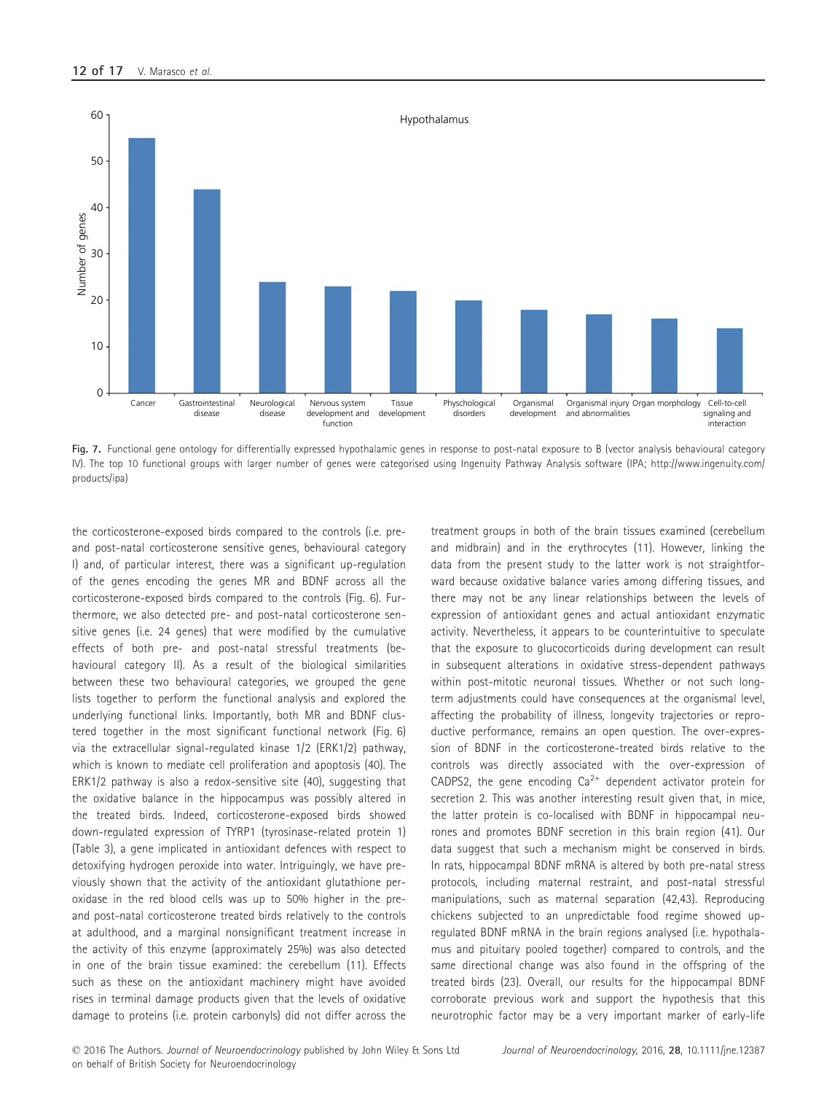

Fig. 7. Functional gene ontology for differentially expressed hypothalamic genes in response to post-natal exposure to B (vector analysis behavioural category IV). The top 10 functional groups with larger number of genes were categorised using Ingenuity Pathway Analysis software (IPA; [http://www.ingenuity.com/](http://www.ingenuity.com/products/ipa) [products/ipa\)](http://www.ingenuity.com/products/ipa)

the corticosterone-exposed birds compared to the controls (i.e. preand post-natal corticosterone sensitive genes, behavioural category I) and, of particular interest, there was a significant up-regulation of the genes encoding the genes MR and BDNF across all the corticosterone-exposed birds compared to the controls (Fig. 6). Furthermore, we also detected pre- and post-natal corticosterone sensitive genes (i.e. 24 genes) that were modified by the cumulative effects of both pre- and post-natal stressful treatments (behavioural category II). As a result of the biological similarities between these two behavioural categories, we grouped the gene lists together to perform the functional analysis and explored the underlying functional links. Importantly, both MR and BDNF clustered together in the most significant functional network (Fig. 6) via the extracellular signal-regulated kinase 1/2 (ERK1/2) pathway, which is known to mediate cell proliferation and apoptosis (40). The ERK1/2 pathway is also a redox-sensitive site (40), suggesting that the oxidative balance in the hippocampus was possibly altered in the treated birds. Indeed, corticosterone-exposed birds showed down-regulated expression of TYRP1 (tyrosinase-related protein 1) (Table 3), a gene implicated in antioxidant defences with respect to detoxifying hydrogen peroxide into water. Intriguingly, we have previously shown that the activity of the antioxidant glutathione peroxidase in the red blood cells was up to 50% higher in the preand post-natal corticosterone treated birds relatively to the controls at adulthood, and a marginal nonsignificant treatment increase in the activity of this enzyme (approximately 25%) was also detected in one of the brain tissue examined: the cerebellum (11). Effects such as these on the antioxidant machinery might have avoided rises in terminal damage products given that the levels of oxidative damage to proteins (i.e. protein carbonyls) did not differ across the treatment groups in both of the brain tissues examined (cerebellum and midbrain) and in the erythrocytes (11). However, linking the data from the present study to the latter work is not straightforward because oxidative balance varies among differing tissues, and there may not be any linear relationships between the levels of expression of antioxidant genes and actual antioxidant enzymatic activity. Nevertheless, it appears to be counterintuitive to speculate that the exposure to glucocorticoids during development can result in subsequent alterations in oxidative stress-dependent pathways within post-mitotic neuronal tissues. Whether or not such longterm adjustments could have consequences at the organismal level, affecting the probability of illness, longevity trajectories or reproductive performance, remains an open question. The over-expression of BDNF in the corticosterone-treated birds relative to the controls was directly associated with the over-expression of CADPS2, the gene encoding  $Ca^{2+}$  dependent activator protein for secretion 2. This was another interesting result given that, in mice, the latter protein is co-localised with BDNF in hippocampal neurones and promotes BDNF secretion in this brain region (41). Our data suggest that such a mechanism might be conserved in birds. In rats, hippocampal BDNF mRNA is altered by both pre-natal stress protocols, including maternal restraint, and post-natal stressful manipulations, such as maternal separation (42,43). Reproducing chickens subjected to an unpredictable food regime showed upregulated BDNF mRNA in the brain regions analysed (i.e. hypothalamus and pituitary pooled together) compared to controls, and the same directional change was also found in the offspring of the treated birds (23). Overall, our results for the hippocampal BDNF corroborate previous work and support the hypothesis that this neurotrophic factor may be a very important marker of early-life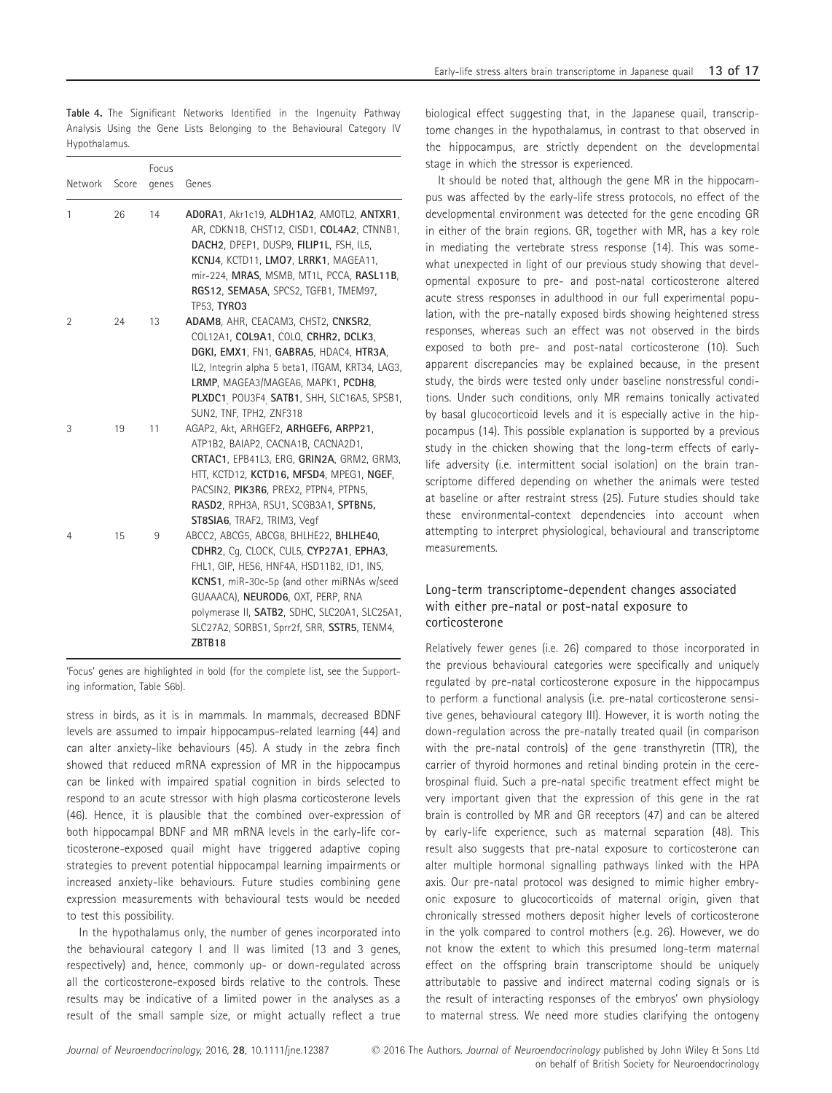Table 4. The Significant Networks Identified in the Ingenuity Pathway Analysis Using the Gene Lists Belonging to the Behavioural Category IV Hypothalamus.

| Network        | Score | Focus<br>genes | Genes                                                                                                                                                                                                                                                                                                                        |
|----------------|-------|----------------|------------------------------------------------------------------------------------------------------------------------------------------------------------------------------------------------------------------------------------------------------------------------------------------------------------------------------|
| 1              | 26    | 14             | ADORA1, Akr1c19, ALDH1A2, AMOTL2, ANTXR1,<br>AR, CDKN1B, CHST12, CISD1, COL4A2, CTNNB1,<br>DACH2, DPEP1, DUSP9, FILIP1L, FSH, IL5,<br>KCNJ4, KCTD11, LMO7, LRRK1, MAGEA11,<br>mir-224, MRAS, MSMB, MT1L, PCCA, RASL11B,<br>RGS12, SEMA5A, SPCS2, TGFB1, TMEM97,<br><b>TP53, TYRO3</b>                                        |
| $\overline{2}$ | 24    | 13             | ADAM8, AHR, CEACAM3, CHST2, CNKSR2,<br>COL12A1, COL9A1, COLQ, CRHR2, DCLK3,<br>DGKI, EMX1, FN1, GABRA5, HDAC4, HTR3A,<br>IL2, Integrin alpha 5 beta1, ITGAM, KRT34, LAG3,<br>LRMP, MAGEA3/MAGEA6, MAPK1, PCDH8,<br>PLXDC1 POU3F4 SATB1, SHH, SLC16A5, SPSB1,<br>SUN2, TNF, TPH2, ZNF318                                      |
| 3              | 19    | 11             | AGAP2, Akt, ARHGEF2, ARHGEF6, ARPP21,<br>ATP1B2, BAIAP2, CACNA1B, CACNA2D1,<br>CRTAC1, EPB41L3, ERG, GRIN2A, GRM2, GRM3,<br>HTT, KCTD12, KCTD16, MFSD4, MPEG1, NGEF,<br>PACSIN2, PIK3R6, PREX2, PTPN4, PTPN5,<br>RASD2, RPH3A, RSU1, SCGB3A1, SPTBN5,<br>ST8SIA6, TRAF2, TRIM3, Vegf                                         |
| 4              | 15    | 9              | ABCC2, ABCG5, ABCG8, BHLHE22, BHLHE40,<br>CDHR2, Cg, CLOCK, CUL5, CYP27A1, EPHA3,<br>FHL1, GIP, HES6, HNF4A, HSD11B2, ID1, INS,<br>KCNS1, miR-30c-5p (and other miRNAs w/seed<br>GUAAACA), NEUROD6, OXT, PERP, RNA<br>polymerase II, SATB2, SDHC, SLC20A1, SLC25A1,<br>SLC27A2, SORBS1, Sprr2f, SRR, SSTR5, TENM4,<br>ZBTB18 |

'Focus' genes are highlighted in bold (for the complete list, see the Supporting information, Table S6b).

stress in birds, as it is in mammals. In mammals, decreased BDNF levels are assumed to impair hippocampus-related learning (44) and can alter anxiety-like behaviours (45). A study in the zebra finch showed that reduced mRNA expression of MR in the hippocampus can be linked with impaired spatial cognition in birds selected to respond to an acute stressor with high plasma corticosterone levels (46). Hence, it is plausible that the combined over-expression of both hippocampal BDNF and MR mRNA levels in the early-life corticosterone-exposed quail might have triggered adaptive coping strategies to prevent potential hippocampal learning impairments or increased anxiety-like behaviours. Future studies combining gene expression measurements with behavioural tests would be needed to test this possibility.

In the hypothalamus only, the number of genes incorporated into the behavioural category I and II was limited (13 and 3 genes, respectively) and, hence, commonly up- or down-regulated across all the corticosterone-exposed birds relative to the controls. These results may be indicative of a limited power in the analyses as a result of the small sample size, or might actually reflect a true biological effect suggesting that, in the Japanese quail, transcriptome changes in the hypothalamus, in contrast to that observed in the hippocampus, are strictly dependent on the developmental stage in which the stressor is experienced.

It should be noted that, although the gene MR in the hippocampus was affected by the early-life stress protocols, no effect of the developmental environment was detected for the gene encoding GR in either of the brain regions. GR, together with MR, has a key role in mediating the vertebrate stress response (14). This was somewhat unexpected in light of our previous study showing that developmental exposure to pre- and post-natal corticosterone altered acute stress responses in adulthood in our full experimental population, with the pre-natally exposed birds showing heightened stress responses, whereas such an effect was not observed in the birds exposed to both pre- and post-natal corticosterone (10). Such apparent discrepancies may be explained because, in the present study, the birds were tested only under baseline nonstressful conditions. Under such conditions, only MR remains tonically activated by basal glucocorticoid levels and it is especially active in the hippocampus (14). This possible explanation is supported by a previous study in the chicken showing that the long-term effects of earlylife adversity (i.e. intermittent social isolation) on the brain transcriptome differed depending on whether the animals were tested at baseline or after restraint stress (25). Future studies should take these environmental-context dependencies into account when attempting to interpret physiological, behavioural and transcriptome measurements.

### Long-term transcriptome-dependent changes associated with either pre-natal or post-natal exposure to corticosterone

Relatively fewer genes (i.e. 26) compared to those incorporated in the previous behavioural categories were specifically and uniquely regulated by pre-natal corticosterone exposure in the hippocampus to perform a functional analysis (i.e. pre-natal corticosterone sensitive genes, behavioural category III). However, it is worth noting the down-regulation across the pre-natally treated quail (in comparison with the pre-natal controls) of the gene transthyretin (TTR), the carrier of thyroid hormones and retinal binding protein in the cerebrospinal fluid. Such a pre-natal specific treatment effect might be very important given that the expression of this gene in the rat brain is controlled by MR and GR receptors (47) and can be altered by early-life experience, such as maternal separation (48). This result also suggests that pre-natal exposure to corticosterone can alter multiple hormonal signalling pathways linked with the HPA axis. Our pre-natal protocol was designed to mimic higher embryonic exposure to glucocorticoids of maternal origin, given that chronically stressed mothers deposit higher levels of corticosterone in the yolk compared to control mothers (e.g. 26). However, we do not know the extent to which this presumed long-term maternal effect on the offspring brain transcriptome should be uniquely attributable to passive and indirect maternal coding signals or is the result of interacting responses of the embryos' own physiology to maternal stress. We need more studies clarifying the ontogeny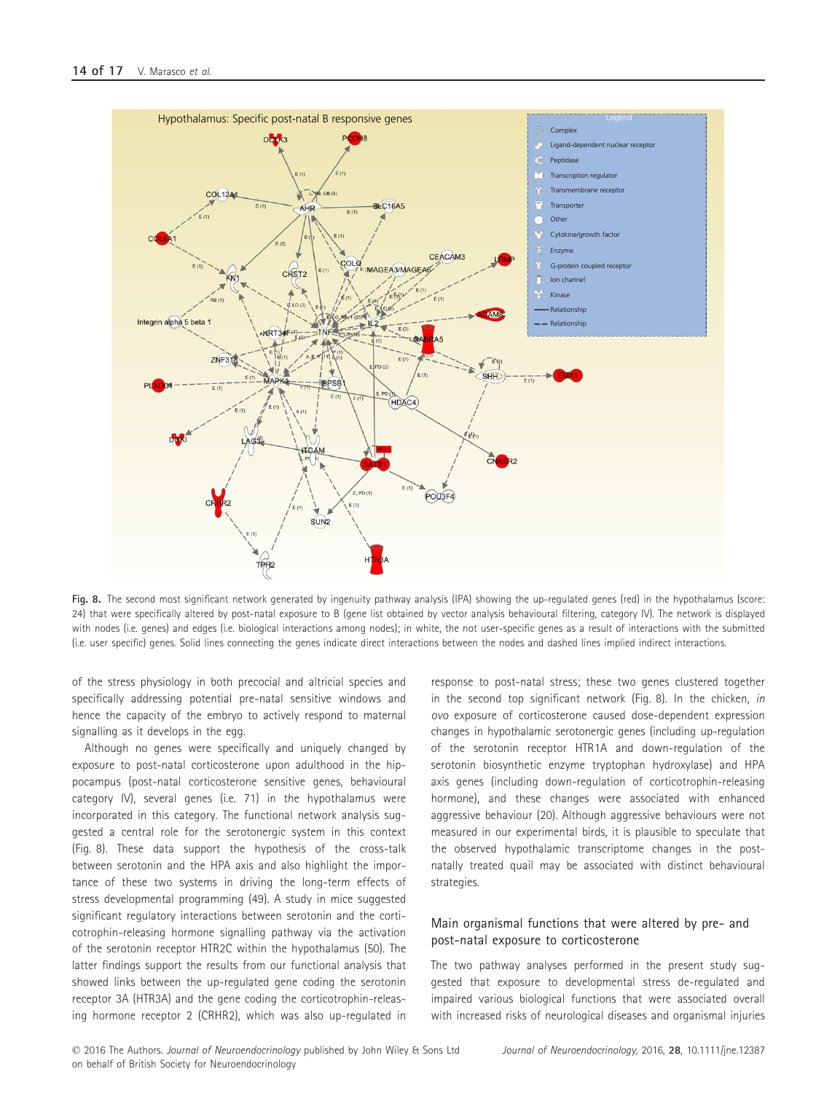![](_page_13_Figure_1.jpeg)

Fig. 8. The second most significant network generated by ingenuity pathway analysis (IPA) showing the up-regulated genes (red) in the hypothalamus (score: 24) that were specifically altered by post-natal exposure to B (gene list obtained by vector analysis behavioural filtering, category IV). The network is displayed with nodes (i.e. genes) and edges (i.e. biological interactions among nodes); in white, the not user-specific genes as a result of interactions with the submitted (i.e. user specific) genes. Solid lines connecting the genes indicate direct interactions between the nodes and dashed lines implied indirect interactions.

of the stress physiology in both precocial and altricial species and specifically addressing potential pre-natal sensitive windows and hence the capacity of the embryo to actively respond to maternal signalling as it develops in the egg.

Although no genes were specifically and uniquely changed by exposure to post-natal corticosterone upon adulthood in the hippocampus (post-natal corticosterone sensitive genes, behavioural category IV), several genes (i.e. 71) in the hypothalamus were incorporated in this category. The functional network analysis suggested a central role for the serotonergic system in this context (Fig. 8). These data support the hypothesis of the cross-talk between serotonin and the HPA axis and also highlight the importance of these two systems in driving the long-term effects of stress developmental programming (49). A study in mice suggested significant regulatory interactions between serotonin and the corticotrophin-releasing hormone signalling pathway via the activation of the serotonin receptor HTR2C within the hypothalamus (50). The latter findings support the results from our functional analysis that showed links between the up-regulated gene coding the serotonin receptor 3A (HTR3A) and the gene coding the corticotrophin-releasing hormone receptor 2 (CRHR2), which was also up-regulated in

response to post-natal stress; these two genes clustered together in the second top significant network (Fig. 8). In the chicken, in ovo exposure of corticosterone caused dose-dependent expression changes in hypothalamic serotonergic genes (including up-regulation of the serotonin receptor HTR1A and down-regulation of the serotonin biosynthetic enzyme tryptophan hydroxylase) and HPA axis genes (including down-regulation of corticotrophin-releasing hormone), and these changes were associated with enhanced aggressive behaviour (20). Although aggressive behaviours were not measured in our experimental birds, it is plausible to speculate that the observed hypothalamic transcriptome changes in the postnatally treated quail may be associated with distinct behavioural strategies.

#### Main organismal functions that were altered by pre- and post-natal exposure to corticosterone

The two pathway analyses performed in the present study suggested that exposure to developmental stress de-regulated and impaired various biological functions that were associated overall with increased risks of neurological diseases and organismal injuries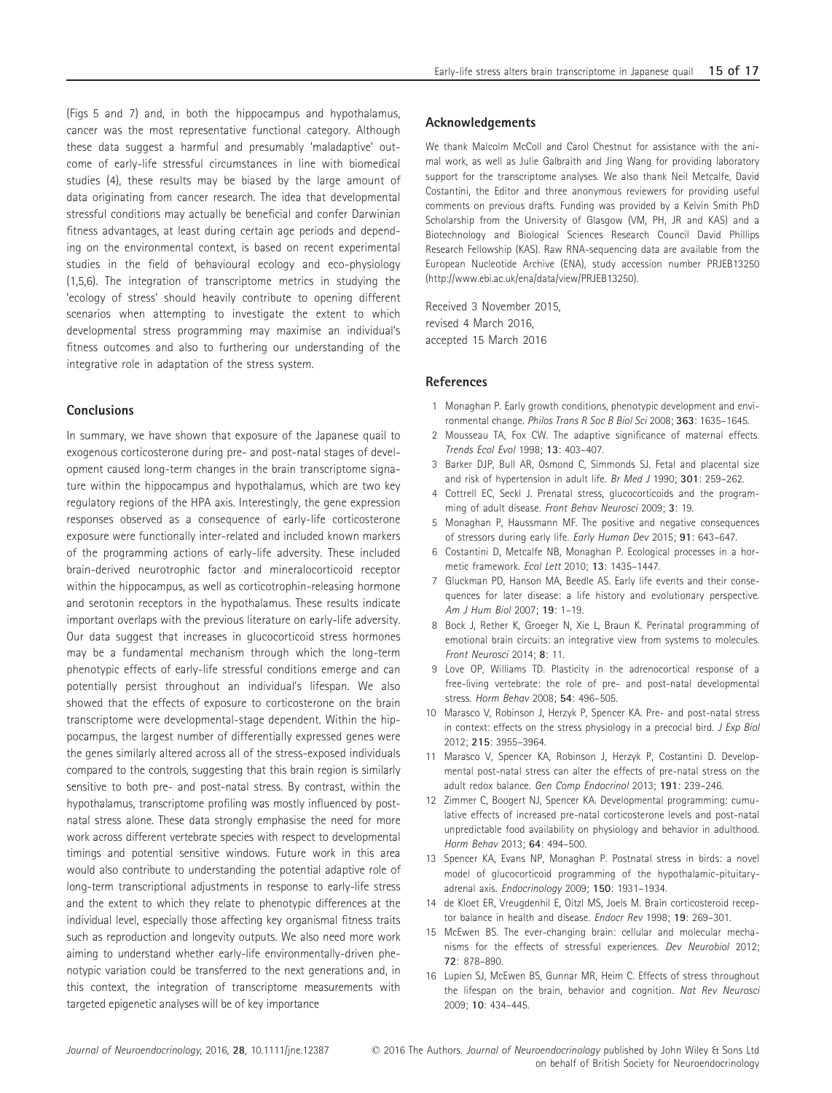(Figs 5 and 7) and, in both the hippocampus and hypothalamus, cancer was the most representative functional category. Although these data suggest a harmful and presumably 'maladaptive' outcome of early-life stressful circumstances in line with biomedical studies (4), these results may be biased by the large amount of data originating from cancer research. The idea that developmental stressful conditions may actually be beneficial and confer Darwinian fitness advantages, at least during certain age periods and depending on the environmental context, is based on recent experimental studies in the field of behavioural ecology and eco-physiology (1,5,6). The integration of transcriptome metrics in studying the 'ecology of stress' should heavily contribute to opening different scenarios when attempting to investigate the extent to which developmental stress programming may maximise an individual's fitness outcomes and also to furthering our understanding of the integrative role in adaptation of the stress system.

#### Conclusions

In summary, we have shown that exposure of the Japanese quail to exogenous corticosterone during pre- and post-natal stages of development caused long-term changes in the brain transcriptome signature within the hippocampus and hypothalamus, which are two key regulatory regions of the HPA axis. Interestingly, the gene expression responses observed as a consequence of early-life corticosterone exposure were functionally inter-related and included known markers of the programming actions of early-life adversity. These included brain-derived neurotrophic factor and mineralocorticoid receptor within the hippocampus, as well as corticotrophin-releasing hormone and serotonin receptors in the hypothalamus. These results indicate important overlaps with the previous literature on early-life adversity. Our data suggest that increases in glucocorticoid stress hormones may be a fundamental mechanism through which the long-term phenotypic effects of early-life stressful conditions emerge and can potentially persist throughout an individual's lifespan. We also showed that the effects of exposure to corticosterone on the brain transcriptome were developmental-stage dependent. Within the hippocampus, the largest number of differentially expressed genes were the genes similarly altered across all of the stress-exposed individuals compared to the controls, suggesting that this brain region is similarly sensitive to both pre- and post-natal stress. By contrast, within the hypothalamus, transcriptome profiling was mostly influenced by postnatal stress alone. These data strongly emphasise the need for more work across different vertebrate species with respect to developmental timings and potential sensitive windows. Future work in this area would also contribute to understanding the potential adaptive role of long-term transcriptional adjustments in response to early-life stress and the extent to which they relate to phenotypic differences at the individual level, especially those affecting key organismal fitness traits such as reproduction and longevity outputs. We also need more work aiming to understand whether early-life environmentally-driven phenotypic variation could be transferred to the next generations and, in this context, the integration of transcriptome measurements with targeted epigenetic analyses will be of key importance

#### Acknowledgements

We thank Malcolm McColl and Carol Chestnut for assistance with the animal work, as well as Julie Galbraith and Jing Wang for providing laboratory support for the transcriptome analyses. We also thank Neil Metcalfe, David Costantini, the Editor and three anonymous reviewers for providing useful comments on previous drafts. Funding was provided by a Kelvin Smith PhD Scholarship from the University of Glasgow (VM, PH, JR and KAS) and a Biotechnology and Biological Sciences Research Council David Phillips Research Fellowship (KAS). Raw RNA-sequencing data are available from the European Nucleotide Archive (ENA), study accession number PRJEB13250 (<http://www.ebi.ac.uk/ena/data/view/PRJEB13250>).

Received 3 November 2015, revised 4 March 2016, accepted 15 March 2016

#### References

- 1 Monaghan P. Early growth conditions, phenotypic development and environmental change. Philos Trans R Soc B Biol Sci 2008; 363: 1635–1645.
- 2 Mousseau TA, Fox CW. The adaptive significance of maternal effects. Trends Ecol Evol 1998; 13: 403–407.
- 3 Barker DJP, Bull AR, Osmond C, Simmonds SJ. Fetal and placental size and risk of hypertension in adult life. Br Med J 1990; 301: 259–262.
- 4 Cottrell EC, Seckl J. Prenatal stress, glucocorticoids and the programming of adult disease. Front Behav Neurosci 2009; 3: 19.
- 5 Monaghan P, Haussmann MF. The positive and negative consequences of stressors during early life. Early Human Dev 2015; 91: 643–647.
- 6 Costantini D, Metcalfe NB, Monaghan P. Ecological processes in a hormetic framework. Ecol Lett 2010; 13: 1435–1447.
- 7 Gluckman PD, Hanson MA, Beedle AS. Early life events and their consequences for later disease: a life history and evolutionary perspective. Am J Hum Biol 2007; 19: 1–19.
- 8 Bock J, Rether K, Groeger N, Xie L, Braun K. Perinatal programming of emotional brain circuits: an integrative view from systems to molecules. Front Neurosci 2014; 8: 11.
- 9 Love OP, Williams TD. Plasticity in the adrenocortical response of a free-living vertebrate: the role of pre- and post-natal developmental stress. Horm Behav 2008; 54: 496–505.
- 10 Marasco V, Robinson J, Herzyk P, Spencer KA. Pre- and post-natal stress in context: effects on the stress physiology in a precocial bird. J Exp Biol 2012; 215: 3955–3964.
- 11 Marasco V, Spencer KA, Robinson J, Herzyk P, Costantini D. Developmental post-natal stress can alter the effects of pre-natal stress on the adult redox balance. Gen Comp Endocrinol 2013; 191: 239–246.
- 12 Zimmer C, Boogert NJ, Spencer KA. Developmental programming: cumulative effects of increased pre-natal corticosterone levels and post-natal unpredictable food availability on physiology and behavior in adulthood. Horm Behav 2013; 64: 494–500.
- 13 Spencer KA, Evans NP, Monaghan P. Postnatal stress in birds: a novel model of glucocorticoid programming of the hypothalamic-pituitaryadrenal axis. Endocrinology 2009; 150: 1931–1934.
- 14 de Kloet ER, Vreugdenhil E, Oitzl MS, Joels M. Brain corticosteroid receptor balance in health and disease. Endocr Rev 1998; 19: 269–301.
- 15 McEwen BS. The ever-changing brain: cellular and molecular mechanisms for the effects of stressful experiences. Dev Neurobiol 2012; 72: 878–890.
- 16 Lupien SJ, McEwen BS, Gunnar MR, Heim C. Effects of stress throughout the lifespan on the brain, behavior and cognition. Nat Rev Neurosci 2009; 10: 434–445.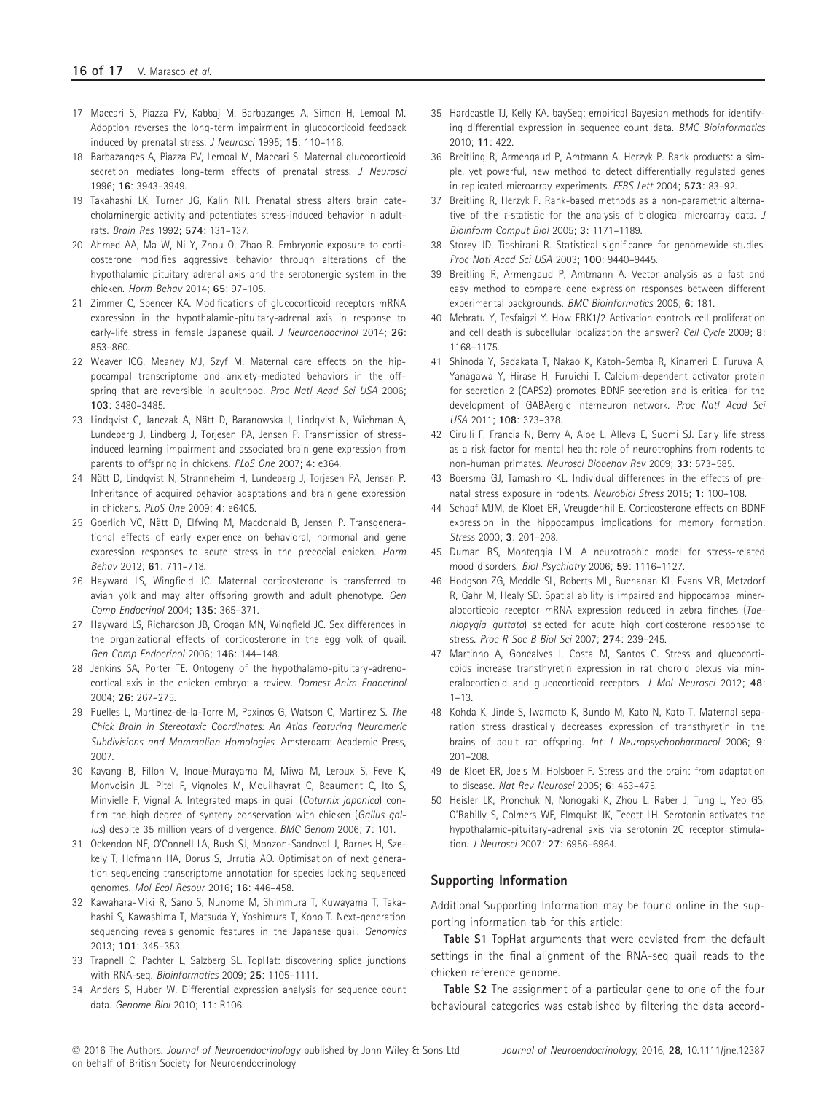- 17 Maccari S, Piazza PV, Kabbaj M, Barbazanges A, Simon H, Lemoal M. Adoption reverses the long-term impairment in glucocorticoid feedback induced by prenatal stress. J Neurosci 1995; 15: 110–116.
- 18 Barbazanges A, Piazza PV, Lemoal M, Maccari S. Maternal glucocorticoid secretion mediates long-term effects of prenatal stress. J Neurosci 1996; 16: 3943–3949.
- 19 Takahashi LK, Turner JG, Kalin NH. Prenatal stress alters brain catecholaminergic activity and potentiates stress-induced behavior in adultrats. Brain Res 1992; 574: 131–137.
- 20 Ahmed AA, Ma W, Ni Y, Zhou Q, Zhao R. Embryonic exposure to corticosterone modifies aggressive behavior through alterations of the hypothalamic pituitary adrenal axis and the serotonergic system in the chicken. Horm Behav 2014; 65: 97–105.
- 21 Zimmer C, Spencer KA. Modifications of glucocorticoid receptors mRNA expression in the hypothalamic-pituitary-adrenal axis in response to early-life stress in female Japanese quail. J Neuroendocrinol 2014; 26: 853–860.
- 22 Weaver ICG, Meaney MJ, Szyf M. Maternal care effects on the hippocampal transcriptome and anxiety-mediated behaviors in the offspring that are reversible in adulthood. Proc Natl Acad Sci USA 2006; 103: 3480–3485.
- 23 Lindqvist C, Janczak A, Nätt D, Baranowska I, Lindqvist N, Wichman A, Lundeberg J, Lindberg J, Torjesen PA, Jensen P. Transmission of stressinduced learning impairment and associated brain gene expression from parents to offspring in chickens. PLoS One 2007; 4: e364.
- 24 Nätt D, Lindqvist N, Stranneheim H, Lundeberg J, Torjesen PA, Jensen P. Inheritance of acquired behavior adaptations and brain gene expression in chickens. PLoS One 2009; 4: e6405.
- 25 Goerlich VC, Nätt D, Elfwing M, Macdonald B, Jensen P. Transgenerational effects of early experience on behavioral, hormonal and gene expression responses to acute stress in the precocial chicken. Horm Behav 2012; 61: 711–718.
- 26 Hayward LS, Wingfield JC. Maternal corticosterone is transferred to avian yolk and may alter offspring growth and adult phenotype. Gen Comp Endocrinol 2004; 135: 365–371.
- 27 Hayward LS, Richardson JB, Grogan MN, Wingfield JC. Sex differences in the organizational effects of corticosterone in the egg yolk of quail. Gen Comp Endocrinol 2006; 146: 144–148.
- 28 Jenkins SA, Porter TE. Ontogeny of the hypothalamo-pituitary-adrenocortical axis in the chicken embryo: a review. Domest Anim Endocrinol 2004; 26: 267–275.
- 29 Puelles L, Martinez-de-la-Torre M, Paxinos G, Watson C, Martinez S. The Chick Brain in Stereotaxic Coordinates: An Atlas Featuring Neuromeric Subdivisions and Mammalian Homologies. Amsterdam: Academic Press, 2007.
- 30 Kayang B, Fillon V, Inoue-Murayama M, Miwa M, Leroux S, Feve K, Monvoisin JL, Pitel F, Vignoles M, Mouilhayrat C, Beaumont C, Ito S, Minvielle F, Vignal A. Integrated maps in quail (Coturnix japonica) confirm the high degree of synteny conservation with chicken (Gallus gallus) despite 35 million years of divergence. BMC Genom 2006; 7: 101.
- 31 Ockendon NF, O'Connell LA, Bush SJ, Monzon-Sandoval J, Barnes H, Szekely T, Hofmann HA, Dorus S, Urrutia AO. Optimisation of next generation sequencing transcriptome annotation for species lacking sequenced genomes. Mol Ecol Resour 2016; 16: 446–458.
- 32 Kawahara-Miki R, Sano S, Nunome M, Shimmura T, Kuwayama T, Takahashi S, Kawashima T, Matsuda Y, Yoshimura T, Kono T. Next-generation sequencing reveals genomic features in the Japanese quail. Genomics 2013; 101: 345–353.
- 33 Trapnell C, Pachter L, Salzberg SL. TopHat: discovering splice junctions with RNA-seq. Bioinformatics 2009; 25: 1105–1111.
- 34 Anders S, Huber W. Differential expression analysis for sequence count data. Genome Biol 2010; 11: R106.
- 35 Hardcastle TJ, Kelly KA. baySeq: empirical Bayesian methods for identifying differential expression in sequence count data. BMC Bioinformatics 2010; 11: 422.
- 36 Breitling R, Armengaud P, Amtmann A, Herzyk P. Rank products: a simple, yet powerful, new method to detect differentially regulated genes in replicated microarray experiments. FEBS Lett 2004; 573: 83–92.
- 37 Breitling R, Herzyk P. Rank-based methods as a non-parametric alternative of the t-statistic for the analysis of biological microarray data. J Bioinform Comput Biol 2005; 3: 1171–1189.
- 38 Storey JD, Tibshirani R. Statistical significance for genomewide studies. Proc Natl Acad Sci USA 2003; 100: 9440–9445.
- 39 Breitling R, Armengaud P, Amtmann A. Vector analysis as a fast and easy method to compare gene expression responses between different experimental backgrounds. BMC Bioinformatics 2005; 6: 181.
- 40 Mebratu Y, Tesfaigzi Y. How ERK1/2 Activation controls cell proliferation and cell death is subcellular localization the answer? Cell Cycle 2009; 8: 1168–1175.
- 41 Shinoda Y, Sadakata T, Nakao K, Katoh-Semba R, Kinameri E, Furuya A, Yanagawa Y, Hirase H, Furuichi T. Calcium-dependent activator protein for secretion 2 (CAPS2) promotes BDNF secretion and is critical for the development of GABAergic interneuron network. Proc Natl Acad Sci USA 2011; 108: 373–378.
- 42 Cirulli F, Francia N, Berry A, Aloe L, Alleva E, Suomi SJ. Early life stress as a risk factor for mental health: role of neurotrophins from rodents to non-human primates. Neurosci Biobehav Rev 2009; 33: 573–585.
- 43 Boersma GJ, Tamashiro KL. Individual differences in the effects of prenatal stress exposure in rodents. Neurobiol Stress 2015; 1: 100–108.
- 44 Schaaf MJM, de Kloet ER, Vreugdenhil E. Corticosterone effects on BDNF expression in the hippocampus implications for memory formation. Stress 2000; 3: 201–208.
- 45 Duman RS, Monteggia LM. A neurotrophic model for stress-related mood disorders. Biol Psychiatry 2006; 59: 1116–1127.
- 46 Hodgson ZG, Meddle SL, Roberts ML, Buchanan KL, Evans MR, Metzdorf R, Gahr M, Healy SD. Spatial ability is impaired and hippocampal mineralocorticoid receptor mRNA expression reduced in zebra finches (Taeniopygia guttata) selected for acute high corticosterone response to stress. Proc R Soc B Biol Sci 2007; 274: 239–245.
- 47 Martinho A, Goncalves I, Costa M, Santos C. Stress and glucocorticoids increase transthyretin expression in rat choroid plexus via mineralocorticoid and glucocorticoid receptors. J Mol Neurosci 2012; 48:  $1 - 13$
- 48 Kohda K, Jinde S, Iwamoto K, Bundo M, Kato N, Kato T. Maternal separation stress drastically decreases expression of transthyretin in the brains of adult rat offspring. Int J Neuropsychopharmacol 2006; 9: 201–208.
- 49 de Kloet ER, Joels M, Holsboer F. Stress and the brain: from adaptation to disease. Nat Rev Neurosci 2005; 6: 463–475.
- 50 Heisler LK, Pronchuk N, Nonogaki K, Zhou L, Raber J, Tung L, Yeo GS, O'Rahilly S, Colmers WF, Elmquist JK, Tecott LH. Serotonin activates the hypothalamic-pituitary-adrenal axis via serotonin 2C receptor stimulation. J Neurosci 2007; 27: 6956–6964.

#### Supporting Information

Additional Supporting Information may be found online in the supporting information tab for this article:

Table S1 TopHat arguments that were deviated from the default settings in the final alignment of the RNA-seq quail reads to the chicken reference genome.

Table S2 The assignment of a particular gene to one of the four behavioural categories was established by filtering the data accord